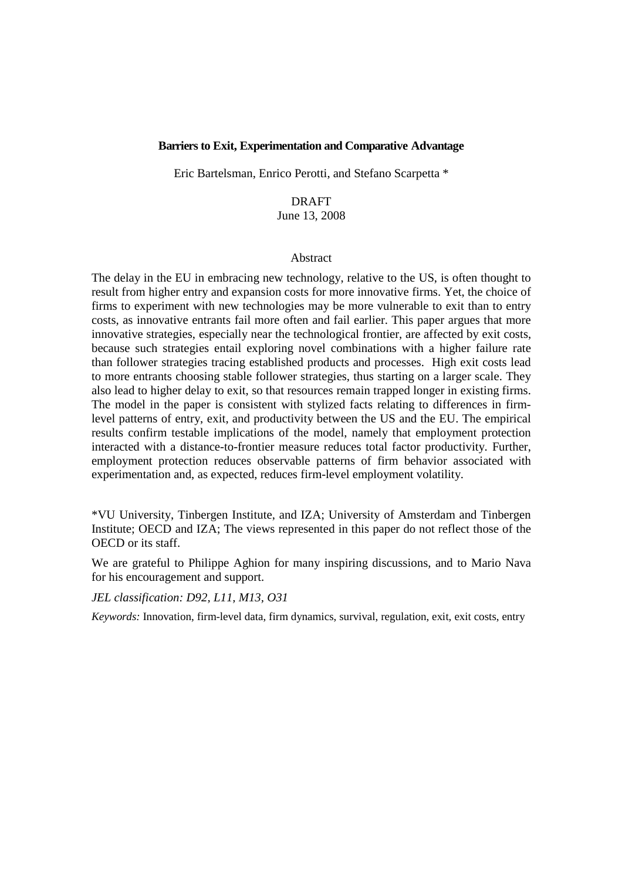# **Barriers to Exit, Experimentation and Comparative Advantage**

Eric Bartelsman, Enrico Perotti, and Stefano Scarpetta \*

# DRAFT June 13, 2008

#### Abstract

The delay in the EU in embracing new technology, relative to the US, is often thought to result from higher entry and expansion costs for more innovative firms. Yet, the choice of firms to experiment with new technologies may be more vulnerable to exit than to entry costs, as innovative entrants fail more often and fail earlier. This paper argues that more innovative strategies, especially near the technological frontier, are affected by exit costs, because such strategies entail exploring novel combinations with a higher failure rate than follower strategies tracing established products and processes. High exit costs lead to more entrants choosing stable follower strategies, thus starting on a larger scale. They also lead to higher delay to exit, so that resources remain trapped longer in existing firms. The model in the paper is consistent with stylized facts relating to differences in firmlevel patterns of entry, exit, and productivity between the US and the EU. The empirical results confirm testable implications of the model, namely that employment protection interacted with a distance-to-frontier measure reduces total factor productivity. Further, employment protection reduces observable patterns of firm behavior associated with experimentation and, as expected, reduces firm-level employment volatility.

\*VU University, Tinbergen Institute, and IZA; University of Amsterdam and Tinbergen Institute; OECD and IZA; The views represented in this paper do not reflect those of the OECD or its staff.

We are grateful to Philippe Aghion for many inspiring discussions, and to Mario Nava for his encouragement and support.

*JEL classification: D92, L11, M13, O31* 

*Keywords:* Innovation, firm-level data, firm dynamics, survival, regulation, exit, exit costs, entry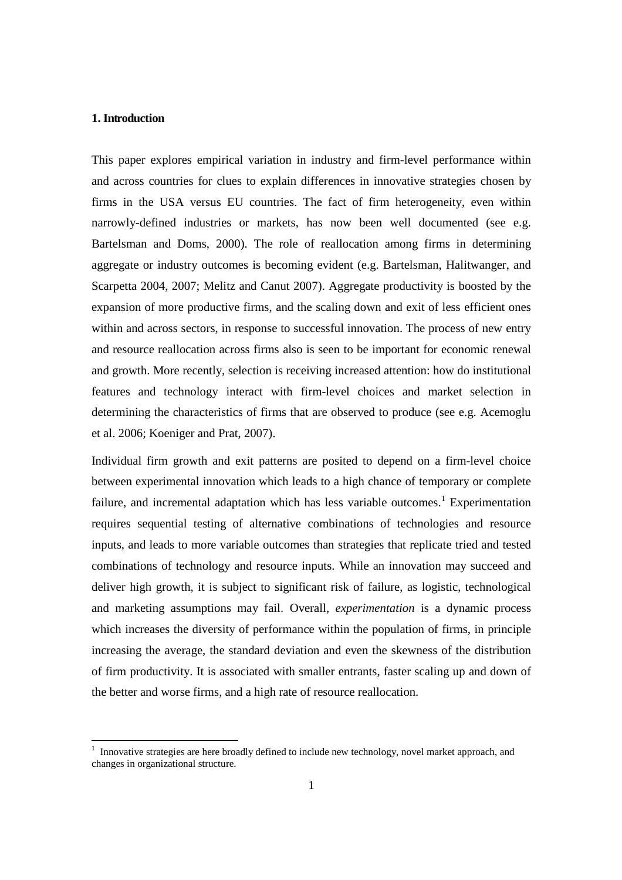## **1. Introduction**

<u>.</u>

This paper explores empirical variation in industry and firm-level performance within and across countries for clues to explain differences in innovative strategies chosen by firms in the USA versus EU countries. The fact of firm heterogeneity, even within narrowly-defined industries or markets, has now been well documented (see e.g. Bartelsman and Doms, 2000). The role of reallocation among firms in determining aggregate or industry outcomes is becoming evident (e.g. Bartelsman, Halitwanger, and Scarpetta 2004, 2007; Melitz and Canut 2007). Aggregate productivity is boosted by the expansion of more productive firms, and the scaling down and exit of less efficient ones within and across sectors, in response to successful innovation. The process of new entry and resource reallocation across firms also is seen to be important for economic renewal and growth. More recently, selection is receiving increased attention: how do institutional features and technology interact with firm-level choices and market selection in determining the characteristics of firms that are observed to produce (see e.g. Acemoglu et al. 2006; Koeniger and Prat, 2007).

Individual firm growth and exit patterns are posited to depend on a firm-level choice between experimental innovation which leads to a high chance of temporary or complete failure, and incremental adaptation which has less variable outcomes.<sup>1</sup> Experimentation requires sequential testing of alternative combinations of technologies and resource inputs, and leads to more variable outcomes than strategies that replicate tried and tested combinations of technology and resource inputs. While an innovation may succeed and deliver high growth, it is subject to significant risk of failure, as logistic, technological and marketing assumptions may fail. Overall, *experimentation* is a dynamic process which increases the diversity of performance within the population of firms, in principle increasing the average, the standard deviation and even the skewness of the distribution of firm productivity. It is associated with smaller entrants, faster scaling up and down of the better and worse firms, and a high rate of resource reallocation.

<sup>&</sup>lt;sup>1</sup> Innovative strategies are here broadly defined to include new technology, novel market approach, and changes in organizational structure.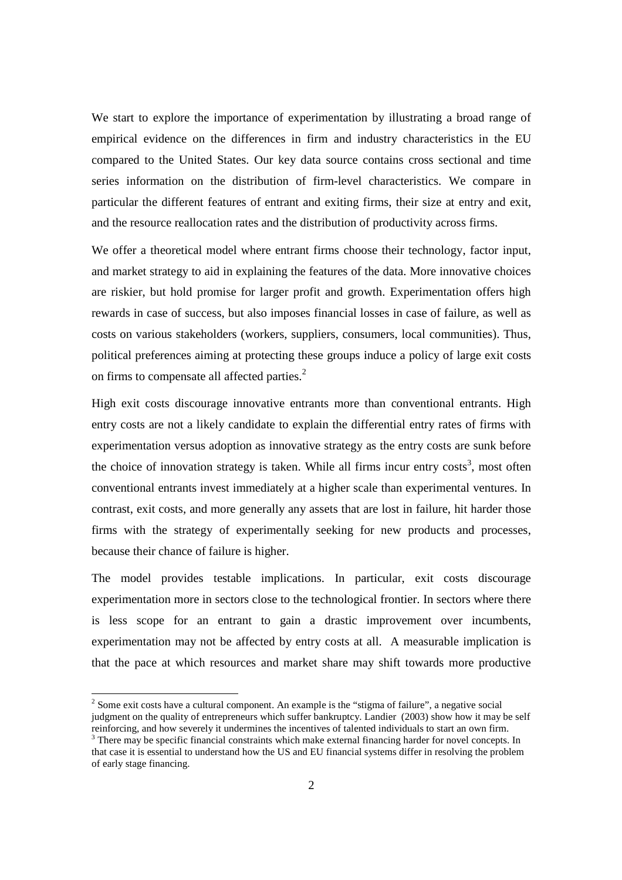We start to explore the importance of experimentation by illustrating a broad range of empirical evidence on the differences in firm and industry characteristics in the EU compared to the United States. Our key data source contains cross sectional and time series information on the distribution of firm-level characteristics. We compare in particular the different features of entrant and exiting firms, their size at entry and exit, and the resource reallocation rates and the distribution of productivity across firms.

We offer a theoretical model where entrant firms choose their technology, factor input, and market strategy to aid in explaining the features of the data. More innovative choices are riskier, but hold promise for larger profit and growth. Experimentation offers high rewards in case of success, but also imposes financial losses in case of failure, as well as costs on various stakeholders (workers, suppliers, consumers, local communities). Thus, political preferences aiming at protecting these groups induce a policy of large exit costs on firms to compensate all affected parties.<sup>2</sup>

High exit costs discourage innovative entrants more than conventional entrants. High entry costs are not a likely candidate to explain the differential entry rates of firms with experimentation versus adoption as innovative strategy as the entry costs are sunk before the choice of innovation strategy is taken. While all firms incur entry  $costs<sup>3</sup>$ , most often conventional entrants invest immediately at a higher scale than experimental ventures. In contrast, exit costs, and more generally any assets that are lost in failure, hit harder those firms with the strategy of experimentally seeking for new products and processes, because their chance of failure is higher.

The model provides testable implications. In particular, exit costs discourage experimentation more in sectors close to the technological frontier. In sectors where there is less scope for an entrant to gain a drastic improvement over incumbents, experimentation may not be affected by entry costs at all. A measurable implication is that the pace at which resources and market share may shift towards more productive

-

 $2^{2}$  Some exit costs have a cultural component. An example is the "stigma of failure", a negative social judgment on the quality of entrepreneurs which suffer bankruptcy. Landier (2003) show how it may be self reinforcing, and how severely it undermines the incentives of talented individuals to start an own firm. <sup>3</sup> There may be specific financial constraints which make external financing harder for novel concepts. In

that case it is essential to understand how the US and EU financial systems differ in resolving the problem of early stage financing.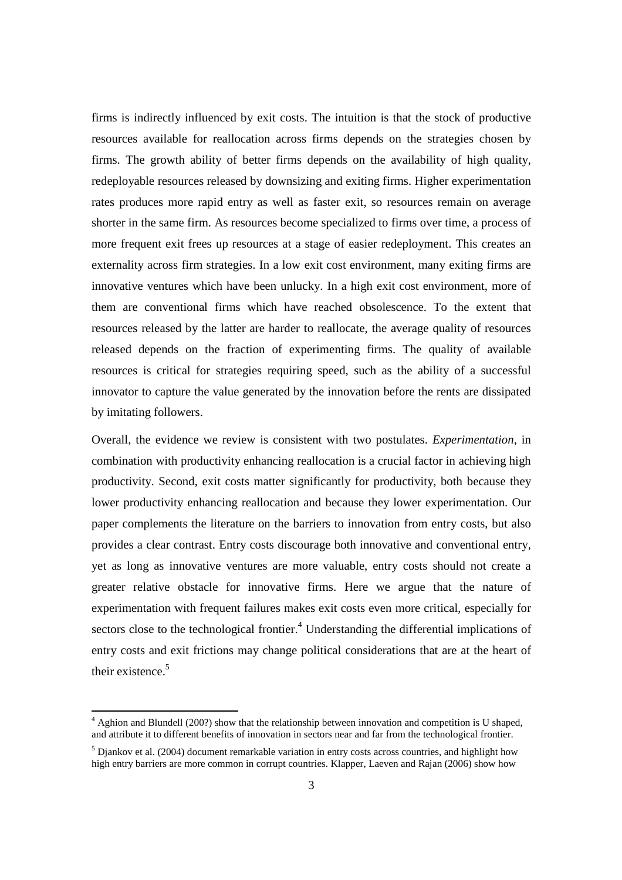firms is indirectly influenced by exit costs. The intuition is that the stock of productive resources available for reallocation across firms depends on the strategies chosen by firms. The growth ability of better firms depends on the availability of high quality, redeployable resources released by downsizing and exiting firms. Higher experimentation rates produces more rapid entry as well as faster exit, so resources remain on average shorter in the same firm. As resources become specialized to firms over time, a process of more frequent exit frees up resources at a stage of easier redeployment. This creates an externality across firm strategies. In a low exit cost environment, many exiting firms are innovative ventures which have been unlucky. In a high exit cost environment, more of them are conventional firms which have reached obsolescence. To the extent that resources released by the latter are harder to reallocate, the average quality of resources released depends on the fraction of experimenting firms. The quality of available resources is critical for strategies requiring speed, such as the ability of a successful innovator to capture the value generated by the innovation before the rents are dissipated by imitating followers.

Overall, the evidence we review is consistent with two postulates. *Experimentation,* in combination with productivity enhancing reallocation is a crucial factor in achieving high productivity. Second, exit costs matter significantly for productivity, both because they lower productivity enhancing reallocation and because they lower experimentation. Our paper complements the literature on the barriers to innovation from entry costs, but also provides a clear contrast. Entry costs discourage both innovative and conventional entry, yet as long as innovative ventures are more valuable, entry costs should not create a greater relative obstacle for innovative firms. Here we argue that the nature of experimentation with frequent failures makes exit costs even more critical, especially for sectors close to the technological frontier. $4$  Understanding the differential implications of entry costs and exit frictions may change political considerations that are at the heart of their existence. $5$ 

-

<sup>&</sup>lt;sup>4</sup> Aghion and Blundell (200?) show that the relationship between innovation and competition is U shaped, and attribute it to different benefits of innovation in sectors near and far from the technological frontier.

 $<sup>5</sup>$  Djankov et al. (2004) document remarkable variation in entry costs across countries, and highlight how</sup> high entry barriers are more common in corrupt countries. Klapper, Laeven and Rajan (2006) show how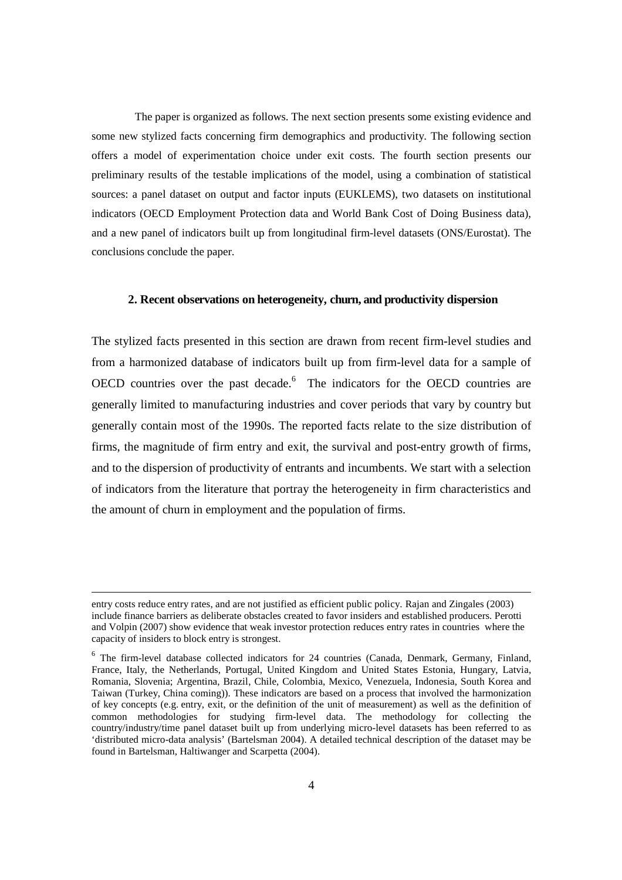The paper is organized as follows. The next section presents some existing evidence and some new stylized facts concerning firm demographics and productivity. The following section offers a model of experimentation choice under exit costs. The fourth section presents our preliminary results of the testable implications of the model, using a combination of statistical sources: a panel dataset on output and factor inputs (EUKLEMS), two datasets on institutional indicators (OECD Employment Protection data and World Bank Cost of Doing Business data), and a new panel of indicators built up from longitudinal firm-level datasets (ONS/Eurostat). The conclusions conclude the paper.

# **2. Recent observations on heterogeneity, churn, and productivity dispersion**

The stylized facts presented in this section are drawn from recent firm-level studies and from a harmonized database of indicators built up from firm-level data for a sample of OECD countries over the past decade.<sup>6</sup> The indicators for the OECD countries are generally limited to manufacturing industries and cover periods that vary by country but generally contain most of the 1990s. The reported facts relate to the size distribution of firms, the magnitude of firm entry and exit, the survival and post-entry growth of firms, and to the dispersion of productivity of entrants and incumbents. We start with a selection of indicators from the literature that portray the heterogeneity in firm characteristics and the amount of churn in employment and the population of firms.

 $\overline{a}$ 

entry costs reduce entry rates, and are not justified as efficient public policy. Rajan and Zingales (2003) include finance barriers as deliberate obstacles created to favor insiders and established producers. Perotti and Volpin (2007) show evidence that weak investor protection reduces entry rates in countries where the capacity of insiders to block entry is strongest.

 $6$  The firm-level database collected indicators for 24 countries (Canada, Denmark, Germany, Finland, France, Italy, the Netherlands, Portugal, United Kingdom and United States Estonia, Hungary, Latvia, Romania, Slovenia; Argentina, Brazil, Chile, Colombia, Mexico, Venezuela, Indonesia, South Korea and Taiwan (Turkey, China coming)). These indicators are based on a process that involved the harmonization of key concepts (e.g. entry, exit, or the definition of the unit of measurement) as well as the definition of common methodologies for studying firm-level data. The methodology for collecting the country/industry/time panel dataset built up from underlying micro-level datasets has been referred to as 'distributed micro-data analysis' (Bartelsman 2004). A detailed technical description of the dataset may be found in Bartelsman, Haltiwanger and Scarpetta (2004).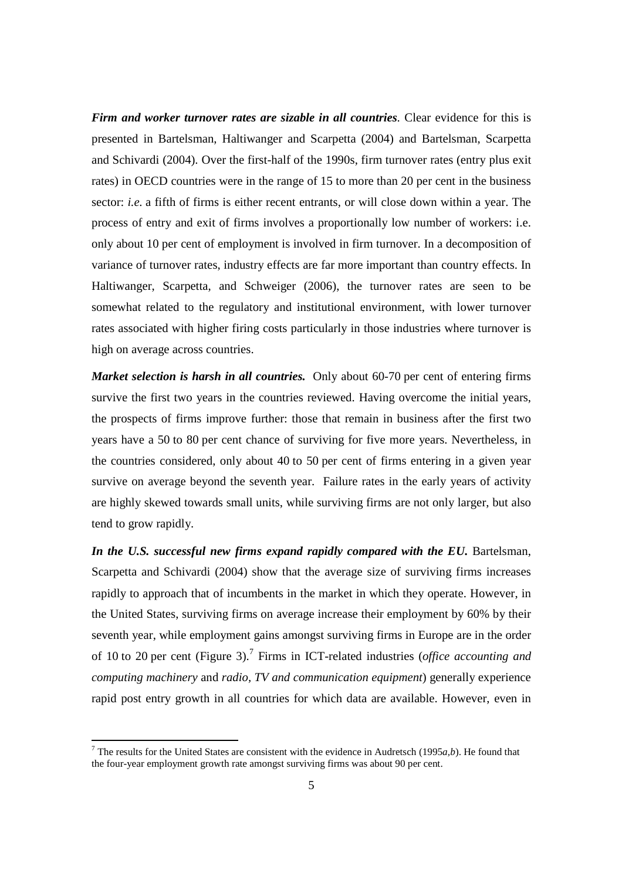*Firm and worker turnover rates are sizable in all countries.* Clear evidence for this is presented in Bartelsman, Haltiwanger and Scarpetta (2004) and Bartelsman, Scarpetta and Schivardi (2004). Over the first-half of the 1990s, firm turnover rates (entry plus exit rates) in OECD countries were in the range of 15 to more than 20 per cent in the business sector: *i.e.* a fifth of firms is either recent entrants, or will close down within a year. The process of entry and exit of firms involves a proportionally low number of workers: i.e. only about 10 per cent of employment is involved in firm turnover. In a decomposition of variance of turnover rates, industry effects are far more important than country effects. In Haltiwanger, Scarpetta, and Schweiger (2006), the turnover rates are seen to be somewhat related to the regulatory and institutional environment, with lower turnover rates associated with higher firing costs particularly in those industries where turnover is high on average across countries.

*Market selection is harsh in all countries.* Only about 60-70 per cent of entering firms survive the first two years in the countries reviewed. Having overcome the initial years, the prospects of firms improve further: those that remain in business after the first two years have a 50 to 80 per cent chance of surviving for five more years. Nevertheless, in the countries considered, only about 40 to 50 per cent of firms entering in a given year survive on average beyond the seventh year. Failure rates in the early years of activity are highly skewed towards small units, while surviving firms are not only larger, but also tend to grow rapidly.

In the U.S. successful new firms expand rapidly compared with the EU. Bartelsman, Scarpetta and Schivardi (2004) show that the average size of surviving firms increases rapidly to approach that of incumbents in the market in which they operate. However, in the United States, surviving firms on average increase their employment by 60% by their seventh year, while employment gains amongst surviving firms in Europe are in the order of 10 to 20 per cent (Figure 3).<sup>7</sup> Firms in ICT-related industries (*office accounting and computing machinery* and *radio, TV and communication equipment*) generally experience rapid post entry growth in all countries for which data are available. However, even in

<u>.</u>

<sup>&</sup>lt;sup>7</sup> The results for the United States are consistent with the evidence in Audretsch (1995 $a$ , b). He found that the four-year employment growth rate amongst surviving firms was about 90 per cent.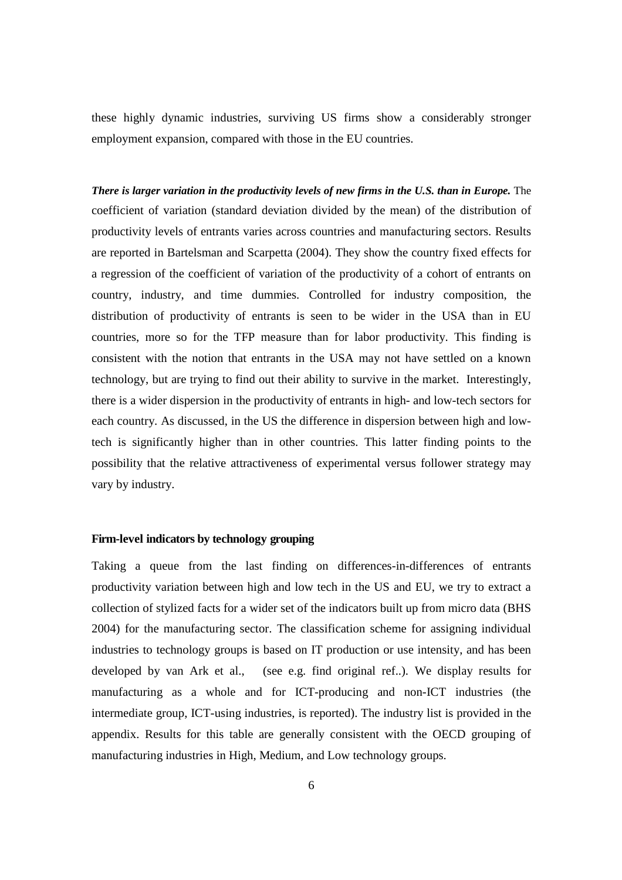these highly dynamic industries, surviving US firms show a considerably stronger employment expansion, compared with those in the EU countries.

*There is larger variation in the productivity levels of new firms in the U.S. than in Europe.* The coefficient of variation (standard deviation divided by the mean) of the distribution of productivity levels of entrants varies across countries and manufacturing sectors. Results are reported in Bartelsman and Scarpetta (2004). They show the country fixed effects for a regression of the coefficient of variation of the productivity of a cohort of entrants on country, industry, and time dummies. Controlled for industry composition, the distribution of productivity of entrants is seen to be wider in the USA than in EU countries, more so for the TFP measure than for labor productivity. This finding is consistent with the notion that entrants in the USA may not have settled on a known technology, but are trying to find out their ability to survive in the market. Interestingly, there is a wider dispersion in the productivity of entrants in high- and low-tech sectors for each country. As discussed, in the US the difference in dispersion between high and lowtech is significantly higher than in other countries. This latter finding points to the possibility that the relative attractiveness of experimental versus follower strategy may vary by industry.

## **Firm-level indicators by technology grouping**

Taking a queue from the last finding on differences-in-differences of entrants productivity variation between high and low tech in the US and EU, we try to extract a collection of stylized facts for a wider set of the indicators built up from micro data (BHS 2004) for the manufacturing sector. The classification scheme for assigning individual industries to technology groups is based on IT production or use intensity, and has been developed by van Ark et al., (see e.g. find original ref..). We display results for manufacturing as a whole and for ICT-producing and non-ICT industries (the intermediate group, ICT-using industries, is reported). The industry list is provided in the appendix. Results for this table are generally consistent with the OECD grouping of manufacturing industries in High, Medium, and Low technology groups.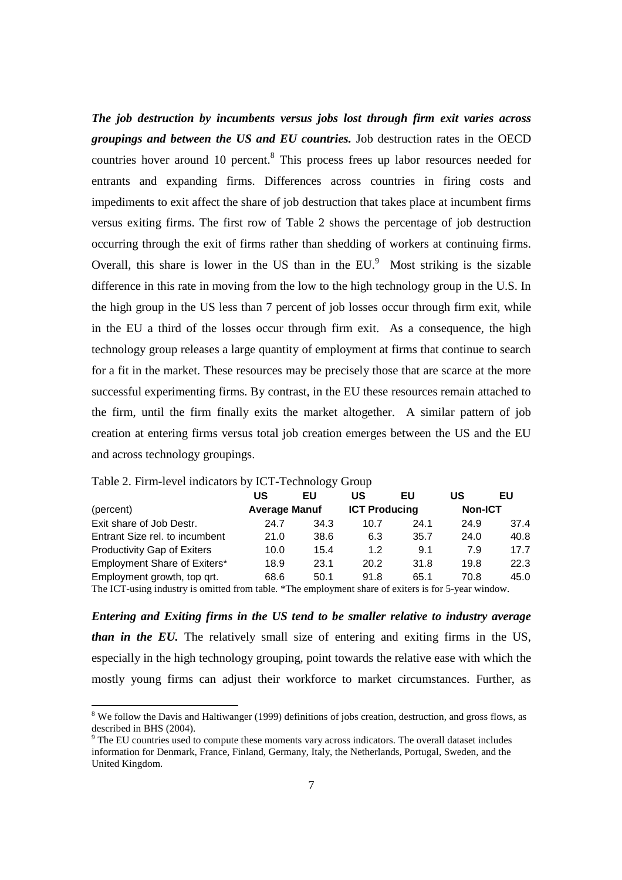*The job destruction by incumbents versus jobs lost through firm exit varies across groupings and between the US and EU countries.* Job destruction rates in the OECD countries hover around 10 percent.<sup>8</sup> This process frees up labor resources needed for entrants and expanding firms. Differences across countries in firing costs and impediments to exit affect the share of job destruction that takes place at incumbent firms versus exiting firms. The first row of Table 2 shows the percentage of job destruction occurring through the exit of firms rather than shedding of workers at continuing firms. Overall, this share is lower in the US than in the  $EU$ . Most striking is the sizable difference in this rate in moving from the low to the high technology group in the U.S. In the high group in the US less than 7 percent of job losses occur through firm exit, while in the EU a third of the losses occur through firm exit. As a consequence, the high technology group releases a large quantity of employment at firms that continue to search for a fit in the market. These resources may be precisely those that are scarce at the more successful experimenting firms. By contrast, in the EU these resources remain attached to the firm, until the firm finally exits the market altogether. A similar pattern of job creation at entering firms versus total job creation emerges between the US and the EU and across technology groupings.

|                                                                                                      | บร                   | EU   | US                   | EU   | US             | EU   |
|------------------------------------------------------------------------------------------------------|----------------------|------|----------------------|------|----------------|------|
| (percent)                                                                                            | <b>Average Manuf</b> |      | <b>ICT Producing</b> |      | <b>Non-ICT</b> |      |
| Exit share of Job Destr.                                                                             | 24.7                 | 34.3 | 10.7                 | 24.1 | 24.9           | 37.4 |
| Entrant Size rel, to incumbent                                                                       | 21.0                 | 38.6 | 6.3                  | 35.7 | 24.0           | 40.8 |
| <b>Productivity Gap of Exiters</b>                                                                   | 10.0                 | 15.4 | 1.2                  | 9.1  | 7.9            | 17.7 |
| Employment Share of Exiters*                                                                         | 18.9                 | 23.1 | 20.2                 | 31.8 | 19.8           | 22.3 |
| Employment growth, top qrt.                                                                          | 68.6                 | 50.1 | 91.8                 | 65.1 | 70.8           | 45.0 |
| The ICT-using industry is omitted from table. *The employment share of exiters is for 5-year window. |                      |      |                      |      |                |      |

Table 2. Firm-level indicators by ICT-Technology Group

*Entering and Exiting firms in the US tend to be smaller relative to industry average than in the EU.* The relatively small size of entering and exiting firms in the US, especially in the high technology grouping, point towards the relative ease with which the mostly young firms can adjust their workforce to market circumstances. Further, as

<sup>&</sup>lt;sup>8</sup> We follow the Davis and Haltiwanger (1999) definitions of jobs creation, destruction, and gross flows, as <sup>8</sup> described in BHS (2004).

<sup>&</sup>lt;sup>9</sup> The EU countries used to compute these moments vary across indicators. The overall dataset includes information for Denmark, France, Finland, Germany, Italy, the Netherlands, Portugal, Sweden, and the United Kingdom.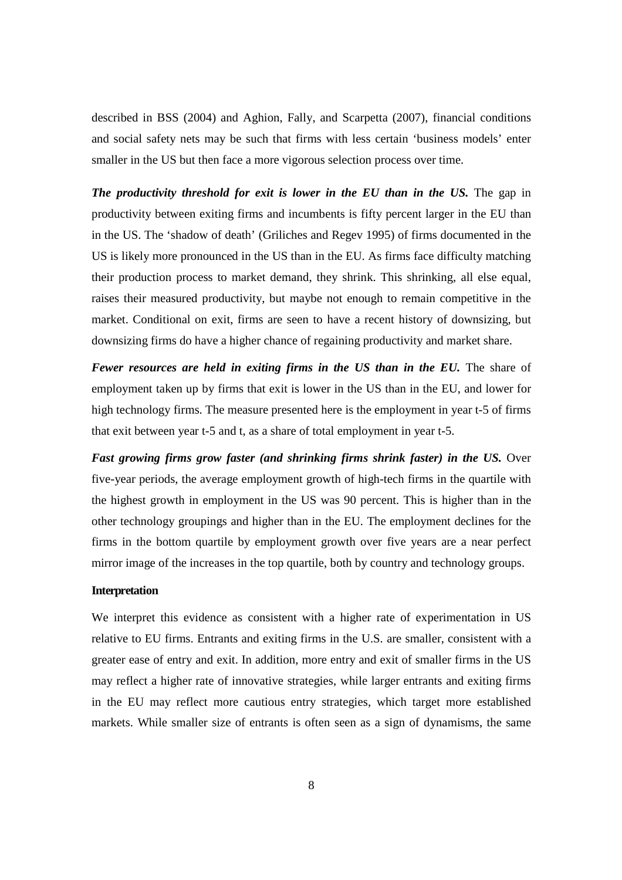described in BSS (2004) and Aghion, Fally, and Scarpetta (2007), financial conditions and social safety nets may be such that firms with less certain 'business models' enter smaller in the US but then face a more vigorous selection process over time.

*The productivity threshold for exit is lower in the EU than in the US.* **The gap in** productivity between exiting firms and incumbents is fifty percent larger in the EU than in the US. The 'shadow of death' (Griliches and Regev 1995) of firms documented in the US is likely more pronounced in the US than in the EU. As firms face difficulty matching their production process to market demand, they shrink. This shrinking, all else equal, raises their measured productivity, but maybe not enough to remain competitive in the market. Conditional on exit, firms are seen to have a recent history of downsizing, but downsizing firms do have a higher chance of regaining productivity and market share.

*Fewer resources are held in exiting firms in the US than in the EU.* The share of employment taken up by firms that exit is lower in the US than in the EU, and lower for high technology firms. The measure presented here is the employment in year t-5 of firms that exit between year t-5 and t, as a share of total employment in year t-5.

*Fast growing firms grow faster (and shrinking firms shrink faster) in the US.* Over five-year periods, the average employment growth of high-tech firms in the quartile with the highest growth in employment in the US was 90 percent. This is higher than in the other technology groupings and higher than in the EU. The employment declines for the firms in the bottom quartile by employment growth over five years are a near perfect mirror image of the increases in the top quartile, both by country and technology groups.

# **Interpretation**

We interpret this evidence as consistent with a higher rate of experimentation in US relative to EU firms. Entrants and exiting firms in the U.S. are smaller, consistent with a greater ease of entry and exit. In addition, more entry and exit of smaller firms in the US may reflect a higher rate of innovative strategies, while larger entrants and exiting firms in the EU may reflect more cautious entry strategies, which target more established markets. While smaller size of entrants is often seen as a sign of dynamisms, the same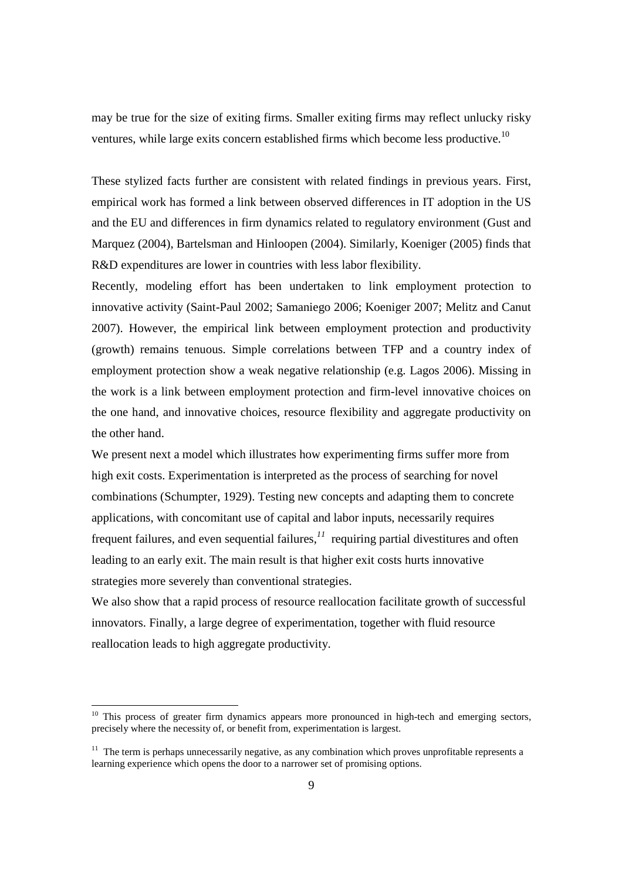may be true for the size of exiting firms. Smaller exiting firms may reflect unlucky risky ventures, while large exits concern established firms which become less productive.<sup>10</sup>

These stylized facts further are consistent with related findings in previous years. First, empirical work has formed a link between observed differences in IT adoption in the US and the EU and differences in firm dynamics related to regulatory environment (Gust and Marquez (2004), Bartelsman and Hinloopen (2004). Similarly, Koeniger (2005) finds that R&D expenditures are lower in countries with less labor flexibility.

Recently, modeling effort has been undertaken to link employment protection to innovative activity (Saint-Paul 2002; Samaniego 2006; Koeniger 2007; Melitz and Canut 2007). However, the empirical link between employment protection and productivity (growth) remains tenuous. Simple correlations between TFP and a country index of employment protection show a weak negative relationship (e.g. Lagos 2006). Missing in the work is a link between employment protection and firm-level innovative choices on the one hand, and innovative choices, resource flexibility and aggregate productivity on the other hand.

We present next a model which illustrates how experimenting firms suffer more from high exit costs. Experimentation is interpreted as the process of searching for novel combinations (Schumpter, 1929). Testing new concepts and adapting them to concrete applications, with concomitant use of capital and labor inputs, necessarily requires frequent failures, and even sequential failures,*<sup>11</sup>* requiring partial divestitures and often leading to an early exit. The main result is that higher exit costs hurts innovative strategies more severely than conventional strategies.

We also show that a rapid process of resource reallocation facilitate growth of successful innovators. Finally, a large degree of experimentation, together with fluid resource reallocation leads to high aggregate productivity.

-

<sup>&</sup>lt;sup>10</sup> This process of greater firm dynamics appears more pronounced in high-tech and emerging sectors, precisely where the necessity of, or benefit from, experimentation is largest.

 $11$  The term is perhaps unnecessarily negative, as any combination which proves unprofitable represents a learning experience which opens the door to a narrower set of promising options.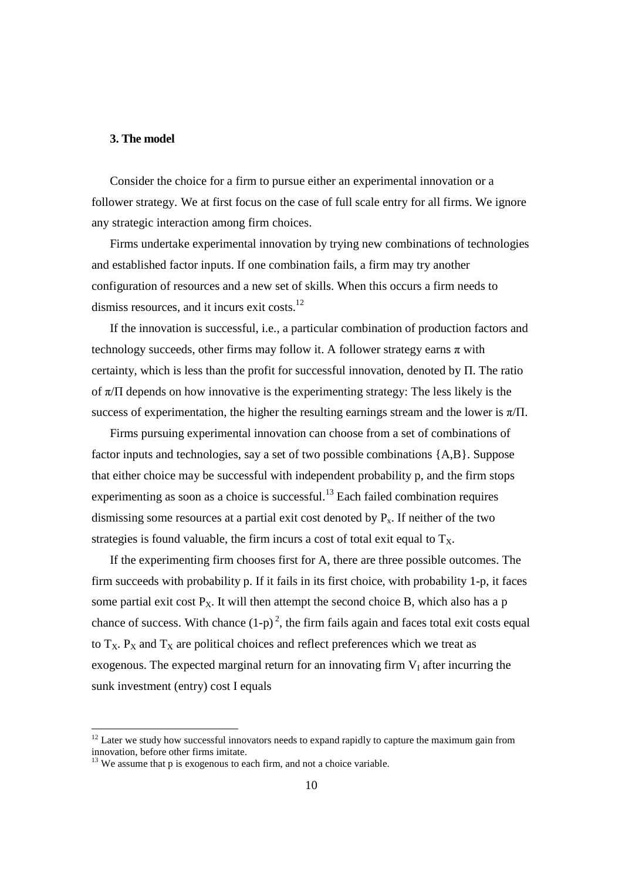## **3. The model**

Consider the choice for a firm to pursue either an experimental innovation or a follower strategy. We at first focus on the case of full scale entry for all firms. We ignore any strategic interaction among firm choices.

Firms undertake experimental innovation by trying new combinations of technologies and established factor inputs. If one combination fails, a firm may try another configuration of resources and a new set of skills. When this occurs a firm needs to dismiss resources, and it incurs exit costs.<sup>12</sup>

If the innovation is successful, i.e., a particular combination of production factors and technology succeeds, other firms may follow it. A follower strategy earns  $\pi$  with certainty, which is less than the profit for successful innovation, denoted by Π. The ratio of  $\pi/\Pi$  depends on how innovative is the experimenting strategy: The less likely is the success of experimentation, the higher the resulting earnings stream and the lower is  $\pi/\Pi$ .

Firms pursuing experimental innovation can choose from a set of combinations of factor inputs and technologies, say a set of two possible combinations {A,B}. Suppose that either choice may be successful with independent probability p, and the firm stops experimenting as soon as a choice is successful.<sup>13</sup> Each failed combination requires dismissing some resources at a partial exit cost denoted by  $P_x$ . If neither of the two strategies is found valuable, the firm incurs a cost of total exit equal to  $T_x$ .

If the experimenting firm chooses first for A, there are three possible outcomes. The firm succeeds with probability p. If it fails in its first choice, with probability 1-p, it faces some partial exit cost  $P_x$ . It will then attempt the second choice B, which also has a p chance of success. With chance  $(1-p)^2$ , the firm fails again and faces total exit costs equal to  $T_X$ .  $P_X$  and  $T_X$  are political choices and reflect preferences which we treat as exogenous. The expected marginal return for an innovating firm  $V_I$  after incurring the sunk investment (entry) cost I equals

-

 $12$  Later we study how successful innovators needs to expand rapidly to capture the maximum gain from innovation, before other firms imitate.

 $13$  We assume that p is exogenous to each firm, and not a choice variable.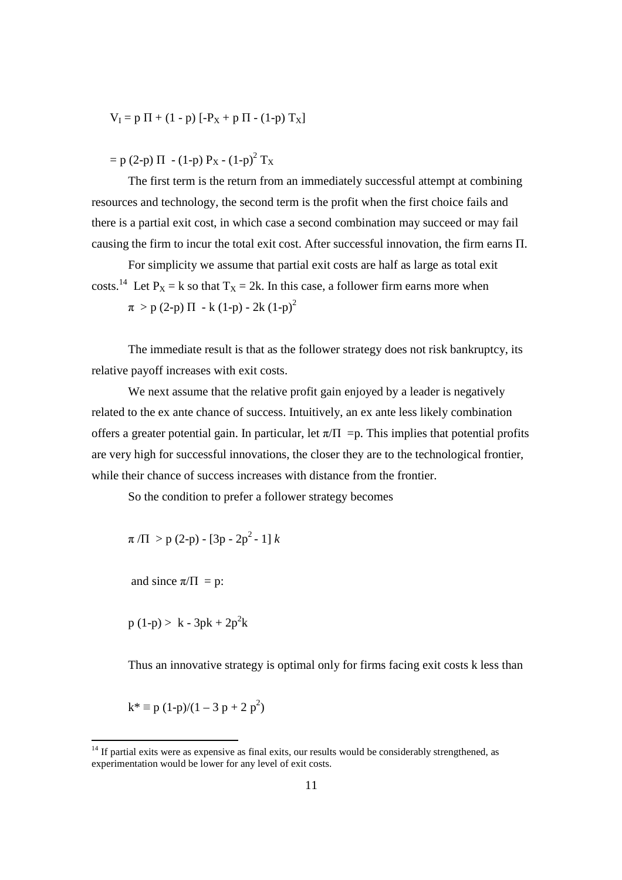$$
V_I = p \Pi + (1 - p) [ -P_X + p \Pi - (1 - p) T_X ]
$$

 $=$  p (2-p)  $\Pi$  - (1-p) P<sub>X</sub> - (1-p)<sup>2</sup> T<sub>X</sub>

The first term is the return from an immediately successful attempt at combining resources and technology, the second term is the profit when the first choice fails and there is a partial exit cost, in which case a second combination may succeed or may fail causing the firm to incur the total exit cost. After successful innovation, the firm earns Π.

For simplicity we assume that partial exit costs are half as large as total exit costs.<sup>14</sup> Let  $P_X = k$  so that  $T_X = 2k$ . In this case, a follower firm earns more when  $\pi > p$  (2-p)  $\Pi$  - k (1-p) - 2k (1-p)<sup>2</sup>

The immediate result is that as the follower strategy does not risk bankruptcy, its relative payoff increases with exit costs.

We next assume that the relative profit gain enjoyed by a leader is negatively related to the ex ante chance of success. Intuitively, an ex ante less likely combination offers a greater potential gain. In particular, let  $\pi/\Pi = p$ . This implies that potential profits are very high for successful innovations, the closer they are to the technological frontier, while their chance of success increases with distance from the frontier.

So the condition to prefer a follower strategy becomes

$$
\pi/\Pi > p(2-p) - [3p - 2p^2 - 1] k
$$

and since  $\pi/\Pi = p$ :

 $p(1-p) > k - 3pk + 2p^2k$ 

Thus an innovative strategy is optimal only for firms facing exit costs k less than

 $k^* \equiv p (1-p)/(1-3 p + 2 p^2)$ 

<u>.</u>

 $14$  If partial exits were as expensive as final exits, our results would be considerably strengthened, as experimentation would be lower for any level of exit costs.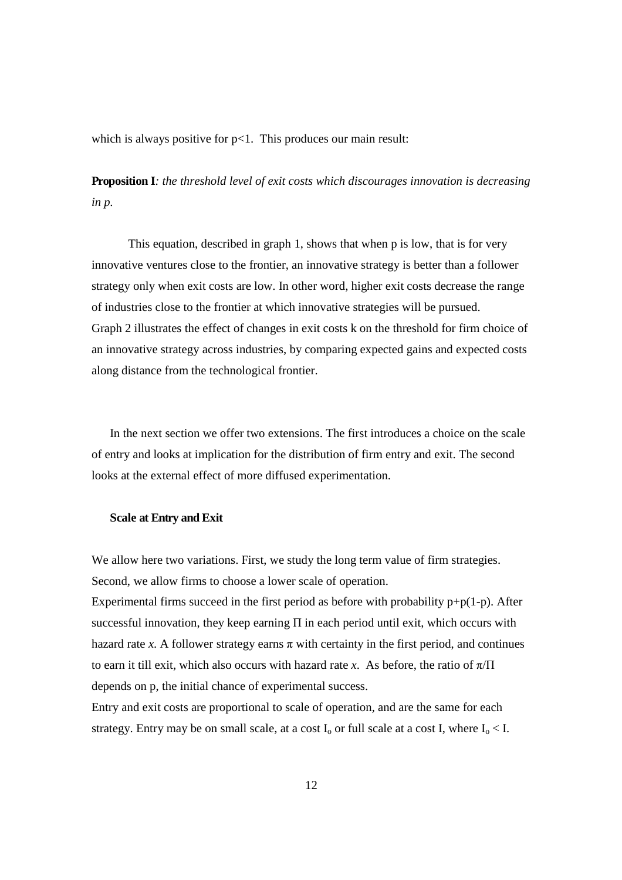which is always positive for  $p<1$ . This produces our main result:

**Proposition I***: the threshold level of exit costs which discourages innovation is decreasing in p.* 

This equation, described in graph 1, shows that when p is low, that is for very innovative ventures close to the frontier, an innovative strategy is better than a follower strategy only when exit costs are low. In other word, higher exit costs decrease the range of industries close to the frontier at which innovative strategies will be pursued. Graph 2 illustrates the effect of changes in exit costs k on the threshold for firm choice of an innovative strategy across industries, by comparing expected gains and expected costs along distance from the technological frontier.

In the next section we offer two extensions. The first introduces a choice on the scale of entry and looks at implication for the distribution of firm entry and exit. The second looks at the external effect of more diffused experimentation.

#### **Scale at Entry and Exit**

We allow here two variations. First, we study the long term value of firm strategies. Second, we allow firms to choose a lower scale of operation.

Experimental firms succeed in the first period as before with probability  $p+p(1-p)$ . After successful innovation, they keep earning  $\Pi$  in each period until exit, which occurs with hazard rate *x*. A follower strategy earns  $\pi$  with certainty in the first period, and continues to earn it till exit, which also occurs with hazard rate *x*. As before, the ratio of  $\pi/\Pi$ depends on p, the initial chance of experimental success.

Entry and exit costs are proportional to scale of operation, and are the same for each strategy. Entry may be on small scale, at a cost  $I_0$  or full scale at a cost I, where  $I_0 < I$ .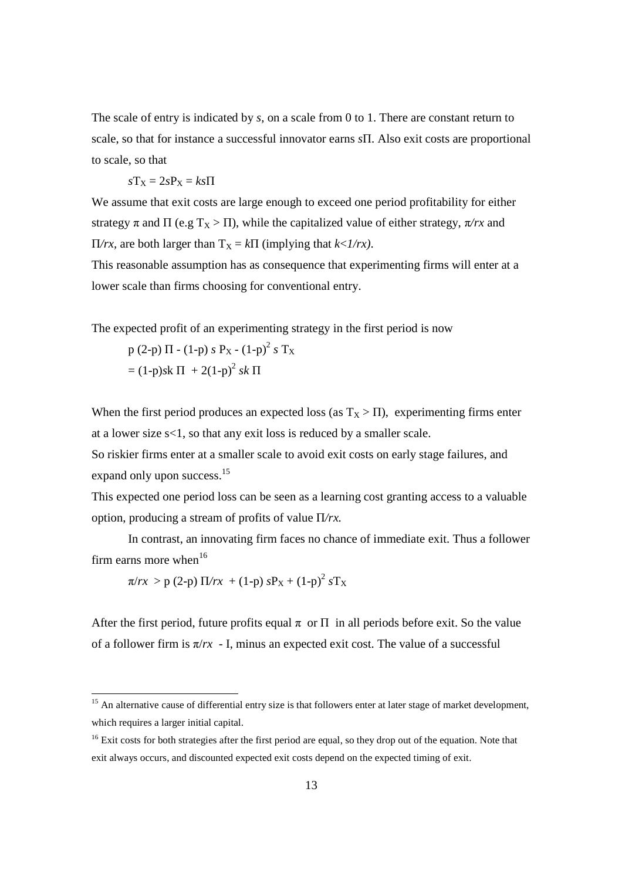The scale of entry is indicated by *s*, on a scale from 0 to 1. There are constant return to scale, so that for instance a successful innovator earns *s*Π. Also exit costs are proportional to scale, so that

$$
sT_X = 2sP_X = ks\Pi
$$

We assume that exit costs are large enough to exceed one period profitability for either strategy  $\pi$  and  $\Pi$  (e.g  $T_X > \Pi$ ), while the capitalized value of either strategy,  $\pi/rx$  and  $\Pi/rx$ , are both larger than  $T<sub>X</sub> = k\Pi$  (implying that *k*<*1/rx*).

This reasonable assumption has as consequence that experimenting firms will enter at a lower scale than firms choosing for conventional entry.

The expected profit of an experimenting strategy in the first period is now

$$
p (2-p) \Pi - (1-p) s PX - (1-p)2 s TX
$$
  
= (1-p)sk \Pi + 2(1-p)<sup>2</sup> sk \Pi

When the first period produces an expected loss (as  $T_X > \Pi$ ), experimenting firms enter at a lower size s<1, so that any exit loss is reduced by a smaller scale.

So riskier firms enter at a smaller scale to avoid exit costs on early stage failures, and expand only upon success.<sup>15</sup>

This expected one period loss can be seen as a learning cost granting access to a valuable option, producing a stream of profits of value Π*/rx.*

In contrast, an innovating firm faces no chance of immediate exit. Thus a follower firm earns more when $^{16}$ 

 $\pi/rx > p$  (2-p)  $\Pi/rx + (1-p) sP_X + (1-p)^2 sT_X$ 

-

After the first period, future profits equal  $\pi$  or  $\Pi$  in all periods before exit. So the value of a follower firm is  $\pi/rx$  - I, minus an expected exit cost. The value of a successful

<sup>&</sup>lt;sup>15</sup> An alternative cause of differential entry size is that followers enter at later stage of market development, which requires a larger initial capital.

<sup>&</sup>lt;sup>16</sup> Exit costs for both strategies after the first period are equal, so they drop out of the equation. Note that exit always occurs, and discounted expected exit costs depend on the expected timing of exit.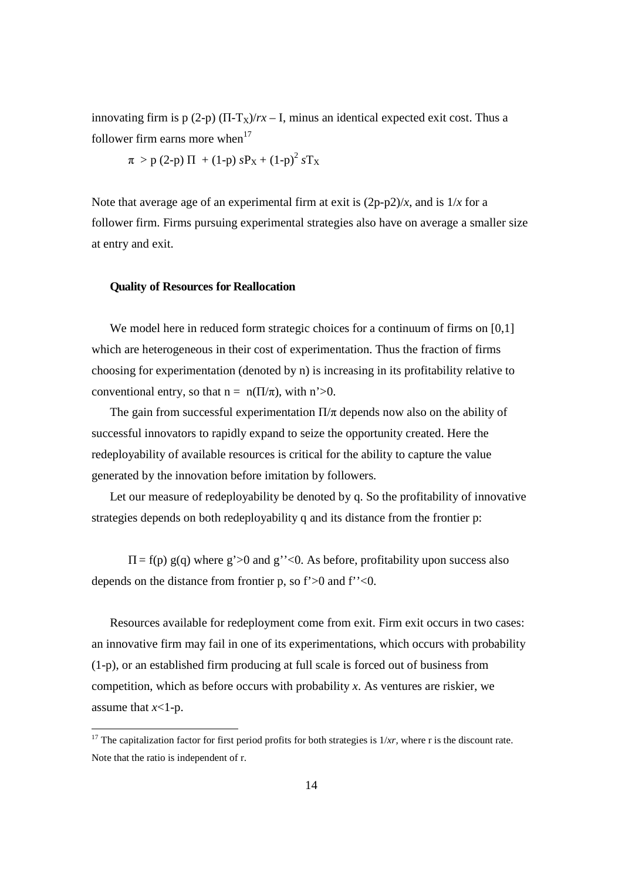innovating firm is p (2-p)  $(\Pi - T_X)/rx - I$ , minus an identical expected exit cost. Thus a follower firm earns more when $17$ 

$$
\pi
$$
 > p (2-p)  $\Pi$  + (1-p)  $sP_X$  + (1-p)<sup>2</sup>  $sT_X$ 

Note that average age of an experimental firm at exit is  $(2p-p2)/x$ , and is  $1/x$  for a follower firm. Firms pursuing experimental strategies also have on average a smaller size at entry and exit.

## **Quality of Resources for Reallocation**

-

We model here in reduced form strategic choices for a continuum of firms on [0,1] which are heterogeneous in their cost of experimentation. Thus the fraction of firms choosing for experimentation (denoted by n) is increasing in its profitability relative to conventional entry, so that  $n = n(\Pi/\pi)$ , with  $n > 0$ .

The gain from successful experimentation  $\Pi/\pi$  depends now also on the ability of successful innovators to rapidly expand to seize the opportunity created. Here the redeployability of available resources is critical for the ability to capture the value generated by the innovation before imitation by followers.

Let our measure of redeployability be denoted by q. So the profitability of innovative strategies depends on both redeployability q and its distance from the frontier p:

 $\Pi = f(p) g(q)$  where g'>0 and g''<0. As before, profitability upon success also depends on the distance from frontier p, so f'>0 and f''<0.

Resources available for redeployment come from exit. Firm exit occurs in two cases: an innovative firm may fail in one of its experimentations, which occurs with probability (1-p), or an established firm producing at full scale is forced out of business from competition, which as before occurs with probability *x*. As ventures are riskier, we assume that *x*<1-p.

<sup>&</sup>lt;sup>17</sup> The capitalization factor for first period profits for both strategies is  $1/xr$ , where r is the discount rate. Note that the ratio is independent of r.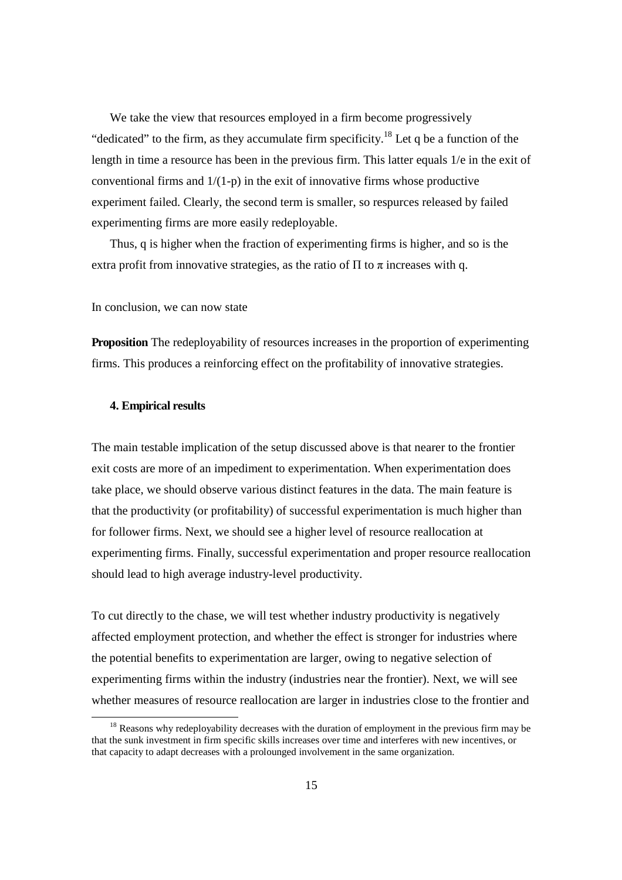We take the view that resources employed in a firm become progressively "dedicated" to the firm, as they accumulate firm specificity.<sup>18</sup> Let q be a function of the length in time a resource has been in the previous firm. This latter equals 1/e in the exit of conventional firms and  $1/(1-p)$  in the exit of innovative firms whose productive experiment failed. Clearly, the second term is smaller, so respurces released by failed experimenting firms are more easily redeployable.

Thus, q is higher when the fraction of experimenting firms is higher, and so is the extra profit from innovative strategies, as the ratio of  $\Pi$  to  $\pi$  increases with q.

#### In conclusion, we can now state

**Proposition** The redeployability of resources increases in the proportion of experimenting firms. This produces a reinforcing effect on the profitability of innovative strategies.

# **4. Empirical results**

-

The main testable implication of the setup discussed above is that nearer to the frontier exit costs are more of an impediment to experimentation. When experimentation does take place, we should observe various distinct features in the data. The main feature is that the productivity (or profitability) of successful experimentation is much higher than for follower firms. Next, we should see a higher level of resource reallocation at experimenting firms. Finally, successful experimentation and proper resource reallocation should lead to high average industry-level productivity.

To cut directly to the chase, we will test whether industry productivity is negatively affected employment protection, and whether the effect is stronger for industries where the potential benefits to experimentation are larger, owing to negative selection of experimenting firms within the industry (industries near the frontier). Next, we will see whether measures of resource reallocation are larger in industries close to the frontier and

<sup>&</sup>lt;sup>18</sup> Reasons why redeployability decreases with the duration of employment in the previous firm may be that the sunk investment in firm specific skills increases over time and interferes with new incentives, or that capacity to adapt decreases with a prolounged involvement in the same organization.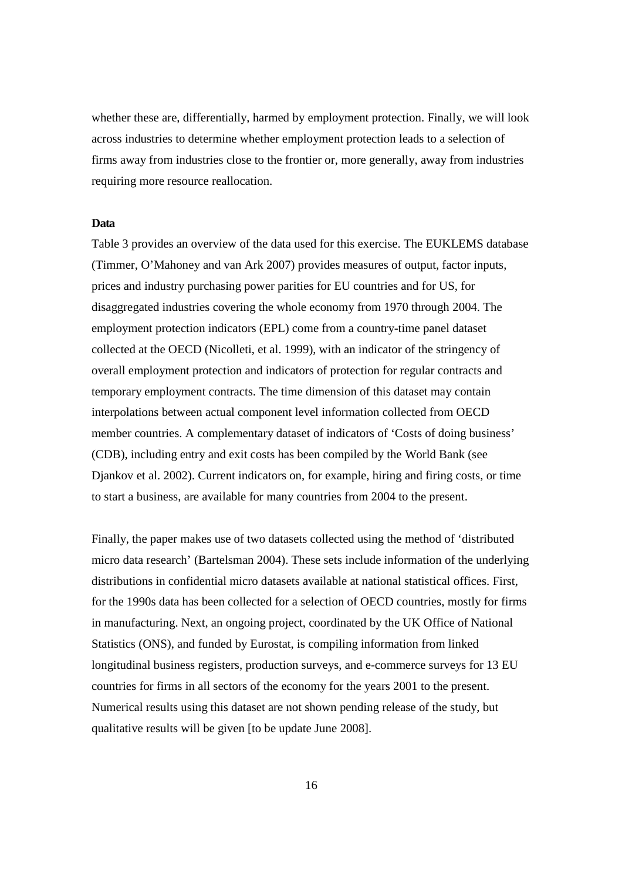whether these are, differentially, harmed by employment protection. Finally, we will look across industries to determine whether employment protection leads to a selection of firms away from industries close to the frontier or, more generally, away from industries requiring more resource reallocation.

## **Data**

Table 3 provides an overview of the data used for this exercise. The EUKLEMS database (Timmer, O'Mahoney and van Ark 2007) provides measures of output, factor inputs, prices and industry purchasing power parities for EU countries and for US, for disaggregated industries covering the whole economy from 1970 through 2004. The employment protection indicators (EPL) come from a country-time panel dataset collected at the OECD (Nicolleti, et al. 1999), with an indicator of the stringency of overall employment protection and indicators of protection for regular contracts and temporary employment contracts. The time dimension of this dataset may contain interpolations between actual component level information collected from OECD member countries. A complementary dataset of indicators of 'Costs of doing business' (CDB), including entry and exit costs has been compiled by the World Bank (see Djankov et al. 2002). Current indicators on, for example, hiring and firing costs, or time to start a business, are available for many countries from 2004 to the present.

Finally, the paper makes use of two datasets collected using the method of 'distributed micro data research' (Bartelsman 2004). These sets include information of the underlying distributions in confidential micro datasets available at national statistical offices. First, for the 1990s data has been collected for a selection of OECD countries, mostly for firms in manufacturing. Next, an ongoing project, coordinated by the UK Office of National Statistics (ONS), and funded by Eurostat, is compiling information from linked longitudinal business registers, production surveys, and e-commerce surveys for 13 EU countries for firms in all sectors of the economy for the years 2001 to the present. Numerical results using this dataset are not shown pending release of the study, but qualitative results will be given [to be update June 2008].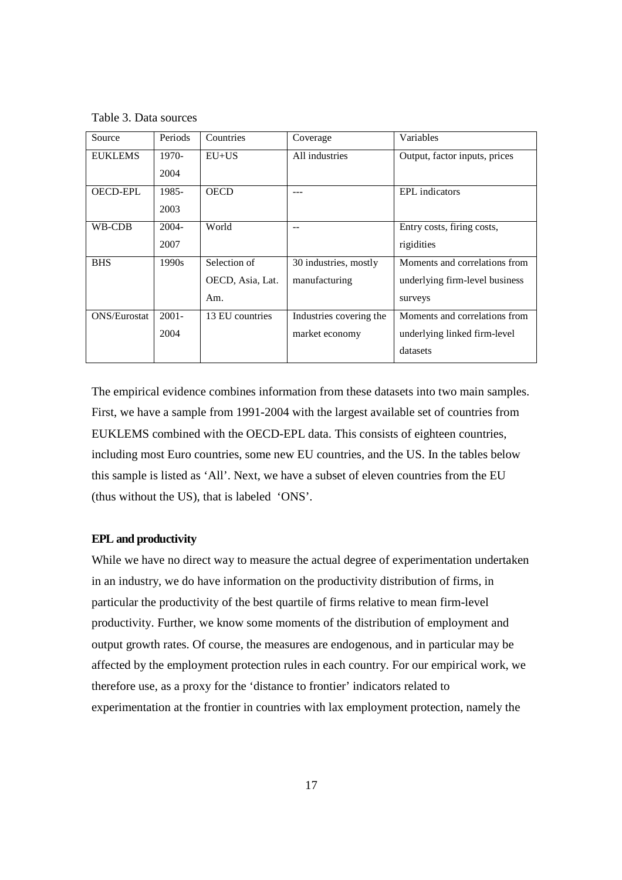Table 3. Data sources

| Source              | Periods  | Countries        | Coverage                | Variables                      |
|---------------------|----------|------------------|-------------------------|--------------------------------|
| <b>EUKLEMS</b>      | $1970-$  | $E U+US$         | All industries          | Output, factor inputs, prices  |
|                     | 2004     |                  |                         |                                |
| <b>OECD-EPL</b>     | 1985-    | <b>OECD</b>      | ---                     | <b>EPL</b> indicators          |
|                     | 2003     |                  |                         |                                |
| WB-CDB              | $2004 -$ | World            |                         | Entry costs, firing costs,     |
|                     | 2007     |                  |                         | rigidities                     |
| <b>BHS</b>          | 1990s    | Selection of     | 30 industries, mostly   | Moments and correlations from  |
|                     |          | OECD, Asia, Lat. | manufacturing           | underlying firm-level business |
|                     |          | Am.              |                         | surveys                        |
| <b>ONS/Eurostat</b> | $2001 -$ | 13 EU countries  | Industries covering the | Moments and correlations from  |
|                     | 2004     |                  | market economy          | underlying linked firm-level   |
|                     |          |                  |                         | datasets                       |

The empirical evidence combines information from these datasets into two main samples. First, we have a sample from 1991-2004 with the largest available set of countries from EUKLEMS combined with the OECD-EPL data. This consists of eighteen countries, including most Euro countries, some new EU countries, and the US. In the tables below this sample is listed as 'All'. Next, we have a subset of eleven countries from the EU (thus without the US), that is labeled 'ONS'.

## **EPL and productivity**

While we have no direct way to measure the actual degree of experimentation undertaken in an industry, we do have information on the productivity distribution of firms, in particular the productivity of the best quartile of firms relative to mean firm-level productivity. Further, we know some moments of the distribution of employment and output growth rates. Of course, the measures are endogenous, and in particular may be affected by the employment protection rules in each country. For our empirical work, we therefore use, as a proxy for the 'distance to frontier' indicators related to experimentation at the frontier in countries with lax employment protection, namely the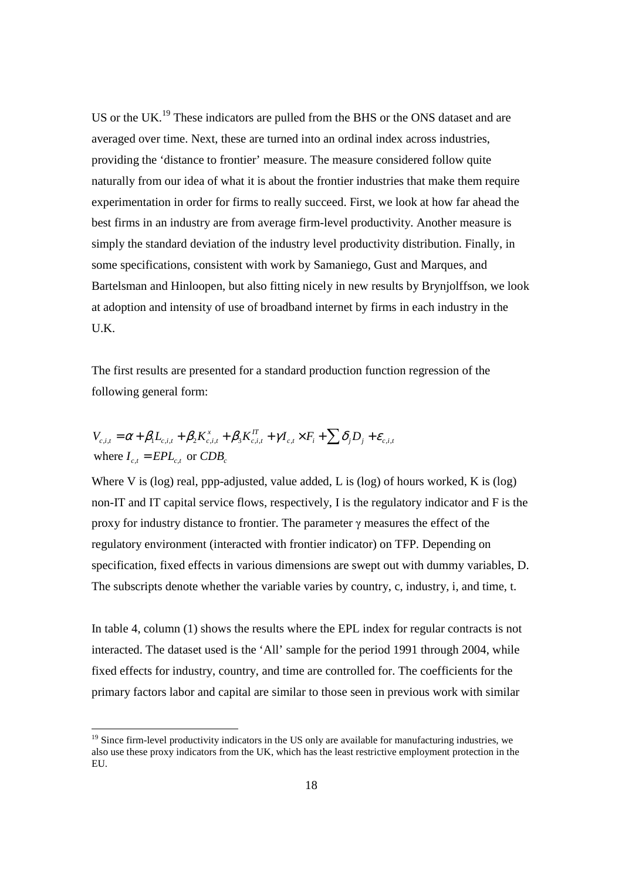US or the UK.<sup>19</sup> These indicators are pulled from the BHS or the ONS dataset and are averaged over time. Next, these are turned into an ordinal index across industries, providing the 'distance to frontier' measure. The measure considered follow quite naturally from our idea of what it is about the frontier industries that make them require experimentation in order for firms to really succeed. First, we look at how far ahead the best firms in an industry are from average firm-level productivity. Another measure is simply the standard deviation of the industry level productivity distribution. Finally, in some specifications, consistent with work by Samaniego, Gust and Marques, and Bartelsman and Hinloopen, but also fitting nicely in new results by Brynjolffson, we look at adoption and intensity of use of broadband internet by firms in each industry in the U.K.

The first results are presented for a standard production function regression of the following general form:

$$
V_{c,i,t} = \alpha + \beta_1 L_{c,i,t} + \beta_2 K_{c,i,t}^x + \beta_3 K_{c,i,t}^{IT} + \gamma I_{c,t} \times F_i + \sum \delta_j D_j + \varepsilon_{c,i,t}
$$
  
where  $I_{c,t} = EPL_{c,t}$  or  $CDB_c$ 

-

Where V is (log) real, ppp-adjusted, value added, L is (log) of hours worked, K is (log) non-IT and IT capital service flows, respectively, I is the regulatory indicator and F is the proxy for industry distance to frontier. The parameter γ measures the effect of the regulatory environment (interacted with frontier indicator) on TFP. Depending on specification, fixed effects in various dimensions are swept out with dummy variables, D. The subscripts denote whether the variable varies by country, c, industry, i, and time, t.

In table 4, column (1) shows the results where the EPL index for regular contracts is not interacted. The dataset used is the 'All' sample for the period 1991 through 2004, while fixed effects for industry, country, and time are controlled for. The coefficients for the primary factors labor and capital are similar to those seen in previous work with similar

<sup>&</sup>lt;sup>19</sup> Since firm-level productivity indicators in the US only are available for manufacturing industries, we also use these proxy indicators from the UK, which has the least restrictive employment protection in the EU.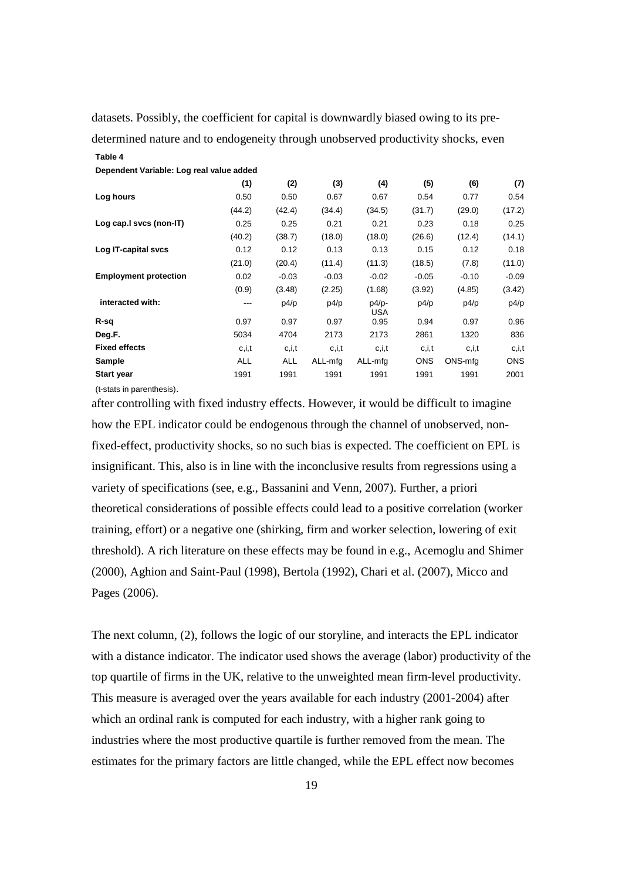datasets. Possibly, the coefficient for capital is downwardly biased owing to its predetermined nature and to endogeneity through unobserved productivity shocks, even **Table 4**

| Dependent Variable: Log real value added |            |            |         |                       |            |         |            |
|------------------------------------------|------------|------------|---------|-----------------------|------------|---------|------------|
|                                          | (1)        | (2)        | (3)     | (4)                   | (5)        | (6)     | (7)        |
| Log hours                                | 0.50       | 0.50       | 0.67    | 0.67                  | 0.54       | 0.77    | 0.54       |
|                                          | (44.2)     | (42.4)     | (34.4)  | (34.5)                | (31.7)     | (29.0)  | (17.2)     |
| Log cap. I svcs (non-IT)                 | 0.25       | 0.25       | 0.21    | 0.21                  | 0.23       | 0.18    | 0.25       |
|                                          | (40.2)     | (38.7)     | (18.0)  | (18.0)                | (26.6)     | (12.4)  | (14.1)     |
| Log IT-capital svcs                      | 0.12       | 0.12       | 0.13    | 0.13                  | 0.15       | 0.12    | 0.18       |
|                                          | (21.0)     | (20.4)     | (11.4)  | (11.3)                | (18.5)     | (7.8)   | (11.0)     |
| <b>Employment protection</b>             | 0.02       | $-0.03$    | $-0.03$ | $-0.02$               | $-0.05$    | $-0.10$ | $-0.09$    |
|                                          | (0.9)      | (3.48)     | (2.25)  | (1.68)                | (3.92)     | (4.85)  | (3.42)     |
| interacted with:                         | ---        | p4/p       | p4/p    | $p4/p-$<br><b>USA</b> | p4/p       | p4/p    | p4/p       |
| R-sq                                     | 0.97       | 0.97       | 0.97    | 0.95                  | 0.94       | 0.97    | 0.96       |
| Deg.F.                                   | 5034       | 4704       | 2173    | 2173                  | 2861       | 1320    | 836        |
| <b>Fixed effects</b>                     | c, i, t    | c, i, t    | c,i,t   | c, i, t               | c,i,t      | c, i, t | c, i, t    |
| Sample                                   | <b>ALL</b> | <b>ALL</b> | ALL-mfg | ALL-mfg               | <b>ONS</b> | ONS-mfg | <b>ONS</b> |
| <b>Start year</b>                        | 1991       | 1991       | 1991    | 1991                  | 1991       | 1991    | 2001       |

(t-stats in parenthesis).

after controlling with fixed industry effects. However, it would be difficult to imagine how the EPL indicator could be endogenous through the channel of unobserved, nonfixed-effect, productivity shocks, so no such bias is expected. The coefficient on EPL is insignificant. This, also is in line with the inconclusive results from regressions using a variety of specifications (see, e.g., Bassanini and Venn, 2007). Further, a priori theoretical considerations of possible effects could lead to a positive correlation (worker training, effort) or a negative one (shirking, firm and worker selection, lowering of exit threshold). A rich literature on these effects may be found in e.g., Acemoglu and Shimer (2000), Aghion and Saint-Paul (1998), Bertola (1992), Chari et al. (2007), Micco and Pages (2006).

The next column, (2), follows the logic of our storyline, and interacts the EPL indicator with a distance indicator. The indicator used shows the average (labor) productivity of the top quartile of firms in the UK, relative to the unweighted mean firm-level productivity. This measure is averaged over the years available for each industry (2001-2004) after which an ordinal rank is computed for each industry, with a higher rank going to industries where the most productive quartile is further removed from the mean. The estimates for the primary factors are little changed, while the EPL effect now becomes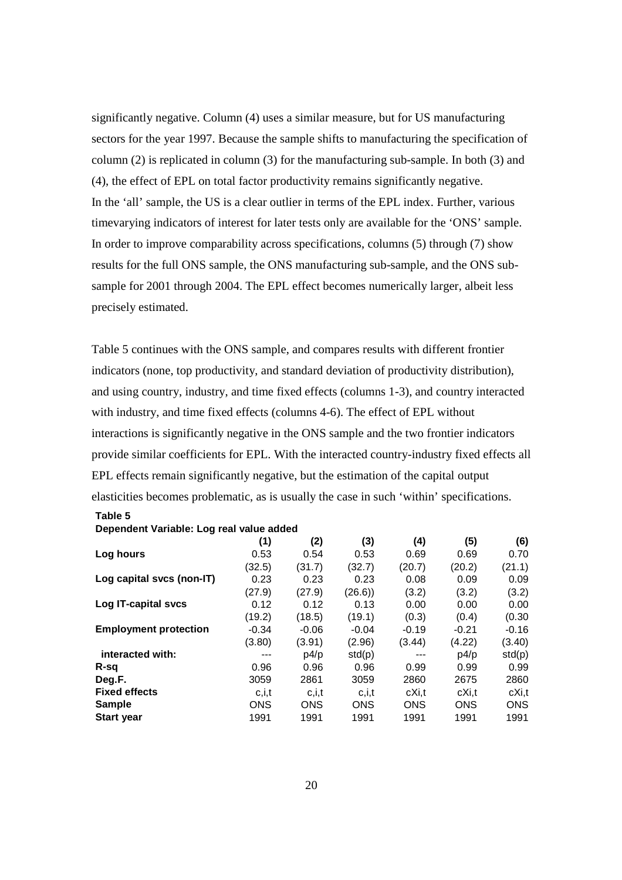significantly negative. Column (4) uses a similar measure, but for US manufacturing sectors for the year 1997. Because the sample shifts to manufacturing the specification of column (2) is replicated in column (3) for the manufacturing sub-sample. In both (3) and (4), the effect of EPL on total factor productivity remains significantly negative. In the 'all' sample, the US is a clear outlier in terms of the EPL index. Further, various timevarying indicators of interest for later tests only are available for the 'ONS' sample. In order to improve comparability across specifications, columns (5) through (7) show results for the full ONS sample, the ONS manufacturing sub-sample, and the ONS subsample for 2001 through 2004. The EPL effect becomes numerically larger, albeit less precisely estimated.

Table 5 continues with the ONS sample, and compares results with different frontier indicators (none, top productivity, and standard deviation of productivity distribution), and using country, industry, and time fixed effects (columns 1-3), and country interacted with industry, and time fixed effects (columns 4-6). The effect of EPL without interactions is significantly negative in the ONS sample and the two frontier indicators provide similar coefficients for EPL. With the interacted country-industry fixed effects all EPL effects remain significantly negative, but the estimation of the capital output elasticities becomes problematic, as is usually the case in such 'within' specifications.

| Dependent variable. Log rear value added |            |            |            |            |            |         |  |
|------------------------------------------|------------|------------|------------|------------|------------|---------|--|
|                                          | (1)        | (2)        | (3)        | (4)        | (5)        | (6)     |  |
| Log hours                                | 0.53       | 0.54       | 0.53       | 0.69       | 0.69       | 0.70    |  |
|                                          | (32.5)     | (31.7)     | (32.7)     | (20.7)     | (20.2)     | (21.1)  |  |
| Log capital svcs (non-IT)                | 0.23       | 0.23       | 0.23       | 0.08       | 0.09       | 0.09    |  |
|                                          | (27.9)     | (27.9)     | (26.6)     | (3.2)      | (3.2)      | (3.2)   |  |
| Log IT-capital svcs                      | 0.12       | 0.12       | 0.13       | 0.00       | 0.00       | 0.00    |  |
|                                          | (19.2)     | (18.5)     | (19.1)     | (0.3)      | (0.4)      | (0.30)  |  |
| <b>Employment protection</b>             | $-0.34$    | $-0.06$    | $-0.04$    | $-0.19$    | $-0.21$    | $-0.16$ |  |
|                                          | (3.80)     | (3.91)     | (2.96)     | (3.44)     | (4.22)     | (3.40)  |  |
| interacted with:                         | $---$      | p4/p       | std(p)     | $---$      | p4/p       | std(p)  |  |
| R-sa                                     | 0.96       | 0.96       | 0.96       | 0.99       | 0.99       | 0.99    |  |
| Deg.F.                                   | 3059       | 2861       | 3059       | 2860       | 2675       | 2860    |  |
| <b>Fixed effects</b>                     | c, i, t    | c.i.t      | c,i,t      | cXi,t      | cXi,t      | cXi,t   |  |
| <b>Sample</b>                            | <b>ONS</b> | <b>ONS</b> | <b>ONS</b> | <b>ONS</b> | <b>ONS</b> | ONS     |  |
| <b>Start year</b>                        | 1991       | 1991       | 1991       | 1991       | 1991       | 1991    |  |
|                                          |            |            |            |            |            |         |  |

#### **Dependent Variable: Log real value added**

**Table 5**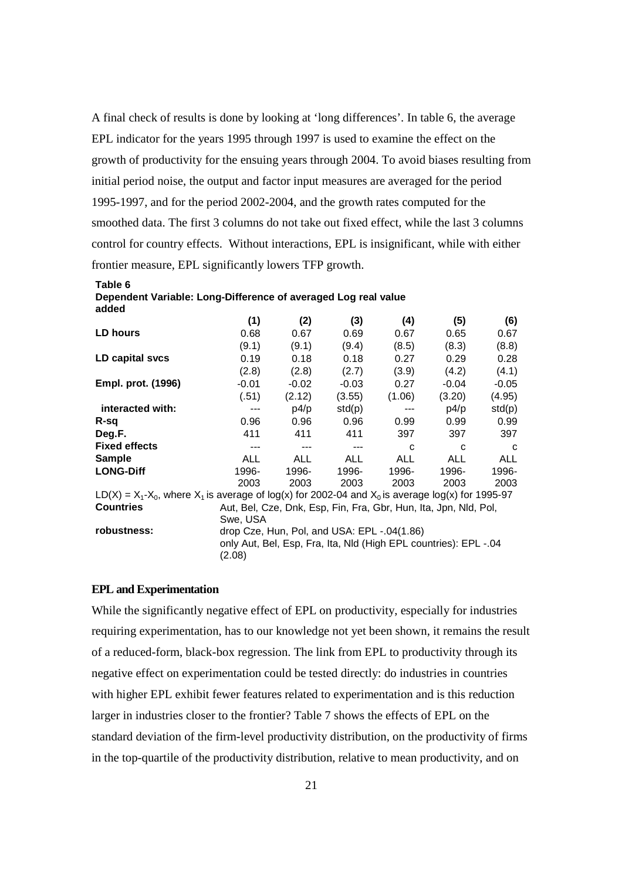A final check of results is done by looking at 'long differences'. In table 6, the average EPL indicator for the years 1995 through 1997 is used to examine the effect on the growth of productivity for the ensuing years through 2004. To avoid biases resulting from initial period noise, the output and factor input measures are averaged for the period 1995-1997, and for the period 2002-2004, and the growth rates computed for the smoothed data. The first 3 columns do not take out fixed effect, while the last 3 columns control for country effects. Without interactions, EPL is insignificant, while with either frontier measure, EPL significantly lowers TFP growth.

| added                                                                                                      |            |            |                                             |            |                                                                  |            |  |
|------------------------------------------------------------------------------------------------------------|------------|------------|---------------------------------------------|------------|------------------------------------------------------------------|------------|--|
|                                                                                                            | (1)        | (2)        | (3)                                         | (4)        | (5)                                                              | (6)        |  |
| LD hours                                                                                                   | 0.68       | 0.67       | 0.69                                        | 0.67       | 0.65                                                             | 0.67       |  |
|                                                                                                            | (9.1)      | (9.1)      | (9.4)                                       | (8.5)      | (8.3)                                                            | (8.8)      |  |
| LD capital svcs                                                                                            | 0.19       | 0.18       | 0.18                                        | 0.27       | 0.29                                                             | 0.28       |  |
|                                                                                                            | (2.8)      | (2.8)      | (2.7)                                       | (3.9)      | (4.2)                                                            | (4.1)      |  |
| Empl. prot. (1996)                                                                                         | $-0.01$    | $-0.02$    | $-0.03$                                     | 0.27       | $-0.04$                                                          | $-0.05$    |  |
|                                                                                                            | (.51)      | (2.12)     | (3.55)                                      | (1.06)     | (3.20)                                                           | (4.95)     |  |
| interacted with:                                                                                           | ---        | p4/p       | std(p)                                      | $---$      | p4/p                                                             | std(p)     |  |
| R-sq                                                                                                       | 0.96       | 0.96       | 0.96                                        | 0.99       | 0.99                                                             | 0.99       |  |
| Deg.F.                                                                                                     | 411        | 411        | 411                                         | 397        | 397                                                              | 397        |  |
| <b>Fixed effects</b>                                                                                       | $---$      | $---$      | $---$                                       | C          | C                                                                | C          |  |
| <b>Sample</b>                                                                                              | <b>ALL</b> | <b>ALL</b> | ALL                                         | <b>ALL</b> | <b>ALL</b>                                                       | <b>ALL</b> |  |
| <b>LONG-Diff</b>                                                                                           | 1996-      | 1996-      | 1996-                                       | 1996-      | 1996-                                                            | 1996-      |  |
|                                                                                                            | 2003       | 2003       | 2003                                        | 2003       | 2003                                                             | 2003       |  |
| $LD(X) = X_1 - X_0$ , where $X_1$ is average of log(x) for 2002-04 and $X_0$ is average log(x) for 1995-97 |            |            |                                             |            |                                                                  |            |  |
| <b>Countries</b>                                                                                           |            |            |                                             |            | Aut, Bel, Cze, Dnk, Esp, Fin, Fra, Gbr, Hun, Ita, Jpn, Nld, Pol, |            |  |
|                                                                                                            | Swe, USA   |            |                                             |            |                                                                  |            |  |
| robustness:                                                                                                |            |            | drop Cze, Hun, Pol, and USA: EPL -.04(1.86) |            |                                                                  |            |  |
|                                                                                                            | (2.08)     |            |                                             |            | only Aut, Bel, Esp, Fra, Ita, NId (High EPL countries): EPL -.04 |            |  |

# **Table 6 Dependent Variable: Long-Difference of averaged Log real value**

# **EPL and Experimentation**

While the significantly negative effect of EPL on productivity, especially for industries requiring experimentation, has to our knowledge not yet been shown, it remains the result of a reduced-form, black-box regression. The link from EPL to productivity through its negative effect on experimentation could be tested directly: do industries in countries with higher EPL exhibit fewer features related to experimentation and is this reduction larger in industries closer to the frontier? Table 7 shows the effects of EPL on the standard deviation of the firm-level productivity distribution, on the productivity of firms in the top-quartile of the productivity distribution, relative to mean productivity, and on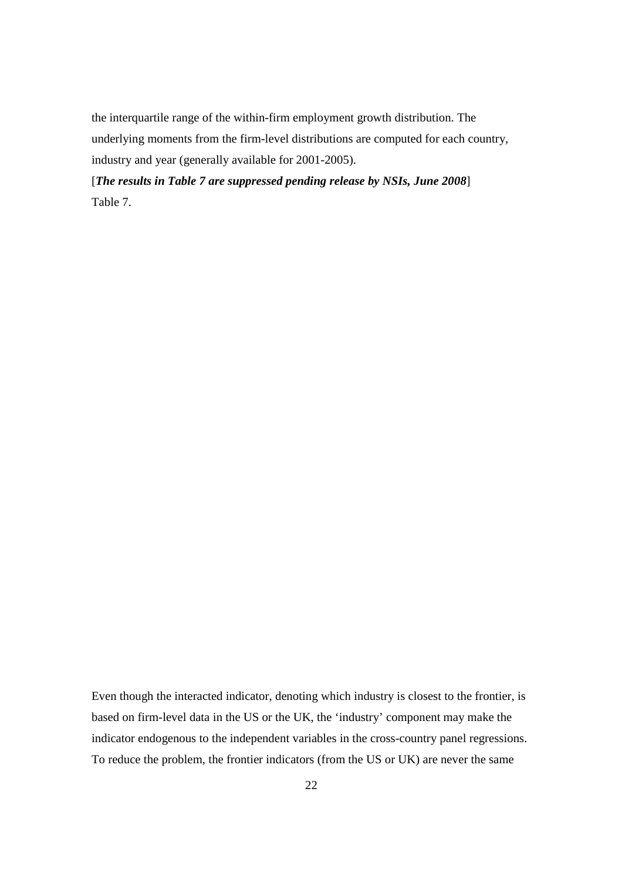the interquartile range of the within-firm employment growth distribution. The underlying moments from the firm-level distributions are computed for each country, industry and year (generally available for 2001-2005).

[*The results in Table 7 are suppressed pending release by NSIs, June 2008*] Table 7.

Even though the interacted indicator, denoting which industry is closest to the frontier, is based on firm-level data in the US or the UK, the 'industry' component may make the indicator endogenous to the independent variables in the cross-country panel regressions. To reduce the problem, the frontier indicators (from the US or UK) are never the same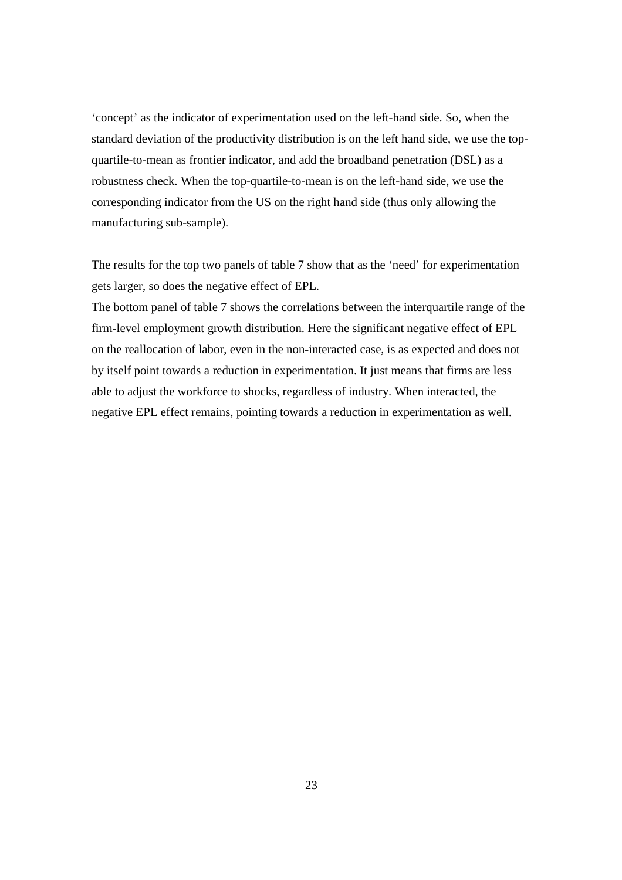'concept' as the indicator of experimentation used on the left-hand side. So, when the standard deviation of the productivity distribution is on the left hand side, we use the topquartile-to-mean as frontier indicator, and add the broadband penetration (DSL) as a robustness check. When the top-quartile-to-mean is on the left-hand side, we use the corresponding indicator from the US on the right hand side (thus only allowing the manufacturing sub-sample).

The results for the top two panels of table 7 show that as the 'need' for experimentation gets larger, so does the negative effect of EPL.

The bottom panel of table 7 shows the correlations between the interquartile range of the firm-level employment growth distribution. Here the significant negative effect of EPL on the reallocation of labor, even in the non-interacted case, is as expected and does not by itself point towards a reduction in experimentation. It just means that firms are less able to adjust the workforce to shocks, regardless of industry. When interacted, the negative EPL effect remains, pointing towards a reduction in experimentation as well.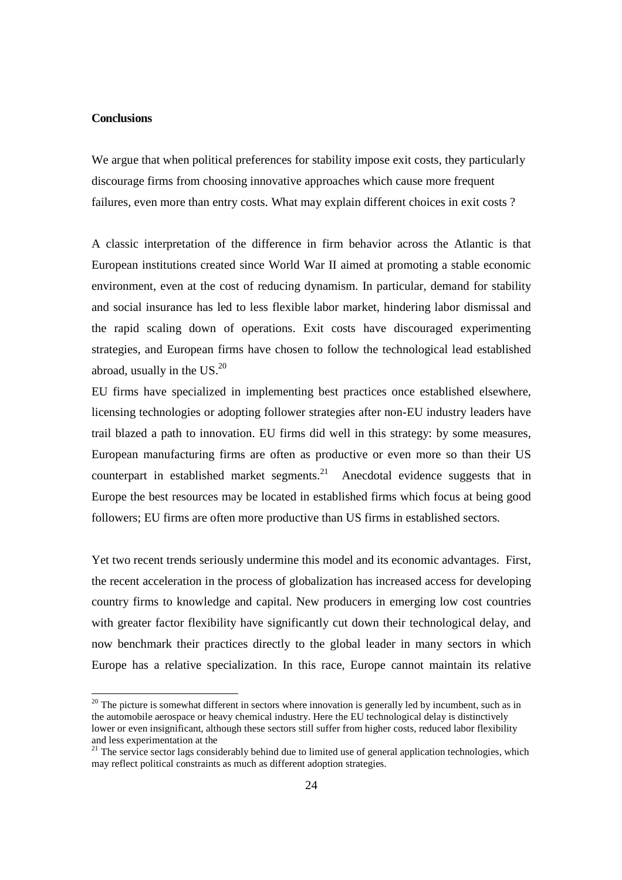# **Conclusions**

-

We argue that when political preferences for stability impose exit costs, they particularly discourage firms from choosing innovative approaches which cause more frequent failures, even more than entry costs. What may explain different choices in exit costs ?

A classic interpretation of the difference in firm behavior across the Atlantic is that European institutions created since World War II aimed at promoting a stable economic environment, even at the cost of reducing dynamism. In particular, demand for stability and social insurance has led to less flexible labor market, hindering labor dismissal and the rapid scaling down of operations. Exit costs have discouraged experimenting strategies, and European firms have chosen to follow the technological lead established abroad, usually in the  $US.<sup>20</sup>$ 

EU firms have specialized in implementing best practices once established elsewhere, licensing technologies or adopting follower strategies after non-EU industry leaders have trail blazed a path to innovation. EU firms did well in this strategy: by some measures, European manufacturing firms are often as productive or even more so than their US counterpart in established market segments.<sup>21</sup> Anecdotal evidence suggests that in Europe the best resources may be located in established firms which focus at being good followers; EU firms are often more productive than US firms in established sectors.

Yet two recent trends seriously undermine this model and its economic advantages. First, the recent acceleration in the process of globalization has increased access for developing country firms to knowledge and capital. New producers in emerging low cost countries with greater factor flexibility have significantly cut down their technological delay, and now benchmark their practices directly to the global leader in many sectors in which Europe has a relative specialization. In this race, Europe cannot maintain its relative

 $20$  The picture is somewhat different in sectors where innovation is generally led by incumbent, such as in the automobile aerospace or heavy chemical industry. Here the EU technological delay is distinctively lower or even insignificant, although these sectors still suffer from higher costs, reduced labor flexibility and less experimentation at the

<sup>&</sup>lt;sup>21</sup> The service sector lags considerably behind due to limited use of general application technologies, which may reflect political constraints as much as different adoption strategies.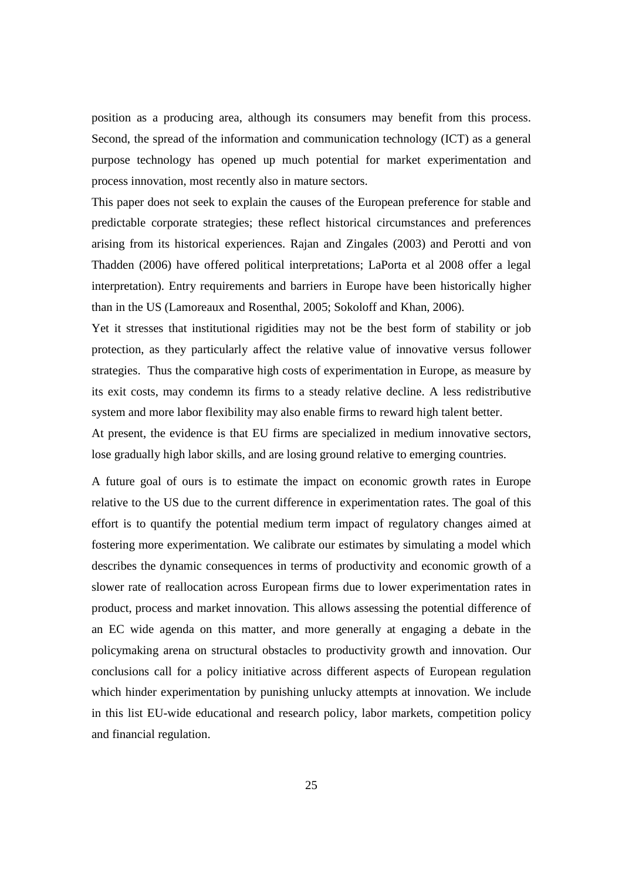position as a producing area, although its consumers may benefit from this process. Second, the spread of the information and communication technology (ICT) as a general purpose technology has opened up much potential for market experimentation and process innovation, most recently also in mature sectors.

This paper does not seek to explain the causes of the European preference for stable and predictable corporate strategies; these reflect historical circumstances and preferences arising from its historical experiences. Rajan and Zingales (2003) and Perotti and von Thadden (2006) have offered political interpretations; LaPorta et al 2008 offer a legal interpretation). Entry requirements and barriers in Europe have been historically higher than in the US (Lamoreaux and Rosenthal, 2005; Sokoloff and Khan, 2006).

Yet it stresses that institutional rigidities may not be the best form of stability or job protection, as they particularly affect the relative value of innovative versus follower strategies. Thus the comparative high costs of experimentation in Europe, as measure by its exit costs, may condemn its firms to a steady relative decline. A less redistributive system and more labor flexibility may also enable firms to reward high talent better.

At present, the evidence is that EU firms are specialized in medium innovative sectors, lose gradually high labor skills, and are losing ground relative to emerging countries.

A future goal of ours is to estimate the impact on economic growth rates in Europe relative to the US due to the current difference in experimentation rates. The goal of this effort is to quantify the potential medium term impact of regulatory changes aimed at fostering more experimentation. We calibrate our estimates by simulating a model which describes the dynamic consequences in terms of productivity and economic growth of a slower rate of reallocation across European firms due to lower experimentation rates in product, process and market innovation. This allows assessing the potential difference of an EC wide agenda on this matter, and more generally at engaging a debate in the policymaking arena on structural obstacles to productivity growth and innovation. Our conclusions call for a policy initiative across different aspects of European regulation which hinder experimentation by punishing unlucky attempts at innovation. We include in this list EU-wide educational and research policy, labor markets, competition policy and financial regulation.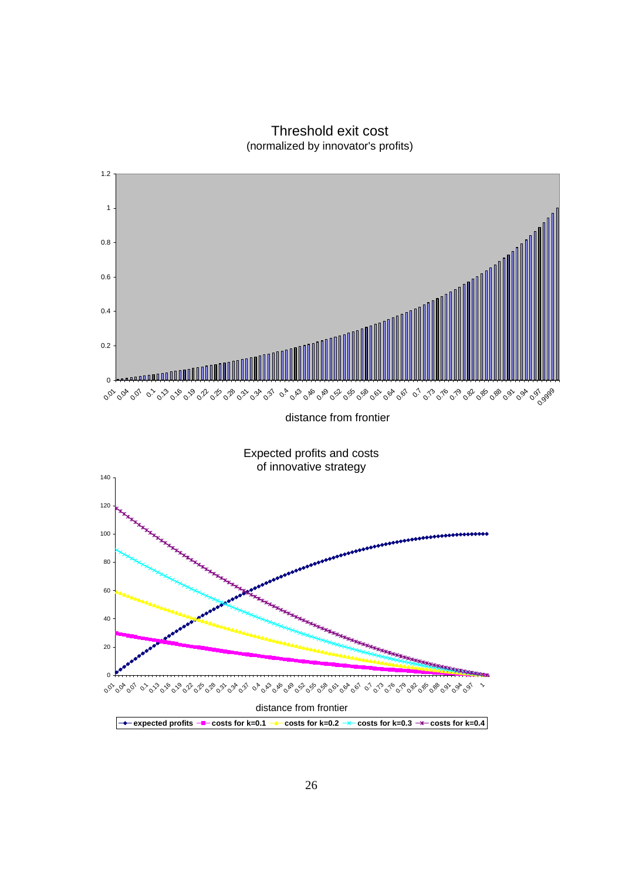Threshold exit cost (normalized by innovator's profits)

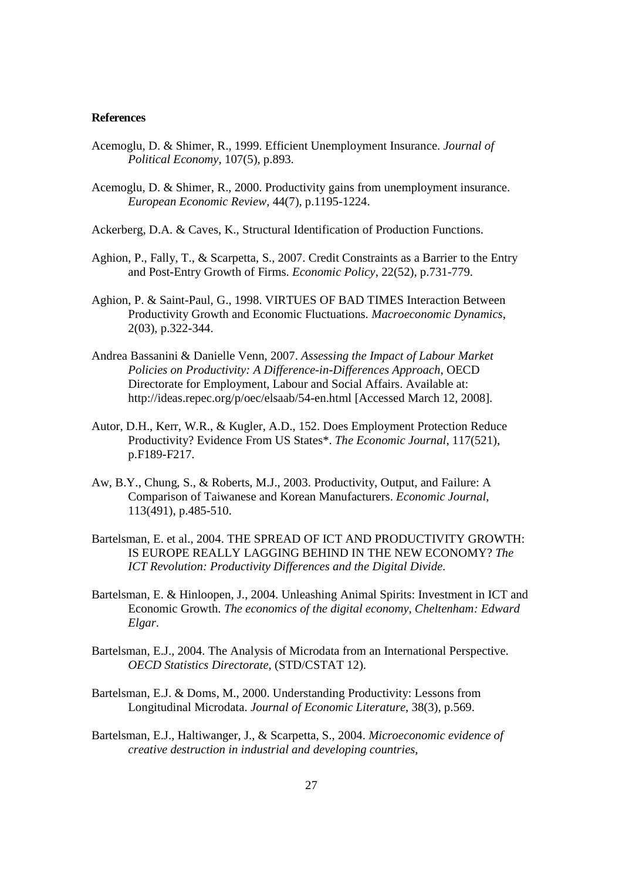## **References**

- Acemoglu, D. & Shimer, R., 1999. Efficient Unemployment Insurance. *Journal of Political Economy*, 107(5), p.893.
- Acemoglu, D. & Shimer, R., 2000. Productivity gains from unemployment insurance. *European Economic Review*, 44(7), p.1195-1224.
- Ackerberg, D.A. & Caves, K., Structural Identification of Production Functions.
- Aghion, P., Fally, T., & Scarpetta, S., 2007. Credit Constraints as a Barrier to the Entry and Post-Entry Growth of Firms. *Economic Policy*, 22(52), p.731-779.
- Aghion, P. & Saint-Paul, G., 1998. VIRTUES OF BAD TIMES Interaction Between Productivity Growth and Economic Fluctuations. *Macroeconomic Dynamics*, 2(03), p.322-344.
- Andrea Bassanini & Danielle Venn, 2007. *Assessing the Impact of Labour Market Policies on Productivity: A Difference-in-Differences Approach*, OECD Directorate for Employment, Labour and Social Affairs. Available at: http://ideas.repec.org/p/oec/elsaab/54-en.html [Accessed March 12, 2008].
- Autor, D.H., Kerr, W.R., & Kugler, A.D., 152. Does Employment Protection Reduce Productivity? Evidence From US States\*. *The Economic Journal*, 117(521), p.F189-F217.
- Aw, B.Y., Chung, S., & Roberts, M.J., 2003. Productivity, Output, and Failure: A Comparison of Taiwanese and Korean Manufacturers. *Economic Journal*, 113(491), p.485-510.
- Bartelsman, E. et al., 2004. THE SPREAD OF ICT AND PRODUCTIVITY GROWTH: IS EUROPE REALLY LAGGING BEHIND IN THE NEW ECONOMY? *The ICT Revolution: Productivity Differences and the Digital Divide*.
- Bartelsman, E. & Hinloopen, J., 2004. Unleashing Animal Spirits: Investment in ICT and Economic Growth. *The economics of the digital economy, Cheltenham: Edward Elgar*.
- Bartelsman, E.J., 2004. The Analysis of Microdata from an International Perspective. *OECD Statistics Directorate*, (STD/CSTAT 12).
- Bartelsman, E.J. & Doms, M., 2000. Understanding Productivity: Lessons from Longitudinal Microdata. *Journal of Economic Literature*, 38(3), p.569.
- Bartelsman, E.J., Haltiwanger, J., & Scarpetta, S., 2004. *Microeconomic evidence of creative destruction in industrial and developing countries*,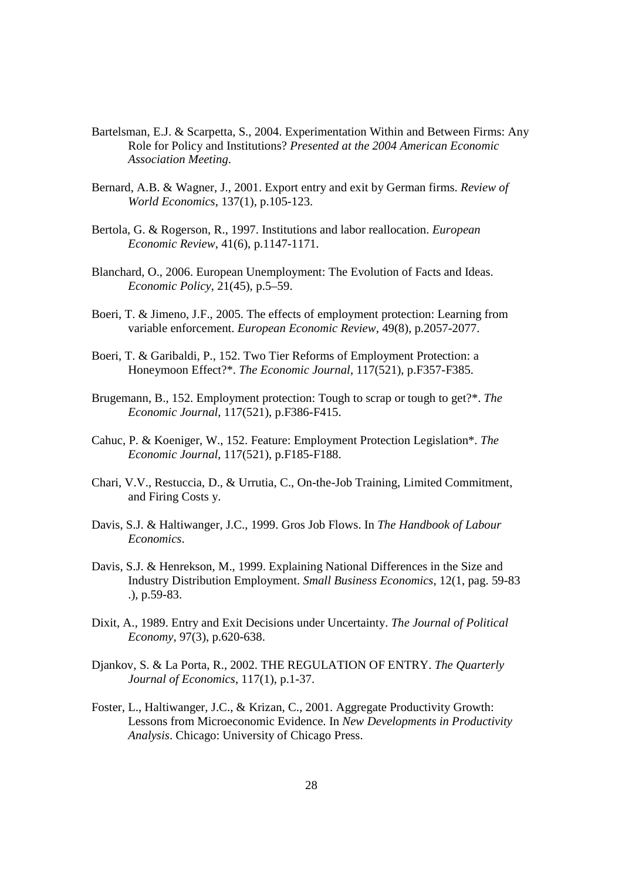- Bartelsman, E.J. & Scarpetta, S., 2004. Experimentation Within and Between Firms: Any Role for Policy and Institutions? *Presented at the 2004 American Economic Association Meeting*.
- Bernard, A.B. & Wagner, J., 2001. Export entry and exit by German firms. *Review of World Economics*, 137(1), p.105-123.
- Bertola, G. & Rogerson, R., 1997. Institutions and labor reallocation. *European Economic Review*, 41(6), p.1147-1171.
- Blanchard, O., 2006. European Unemployment: The Evolution of Facts and Ideas. *Economic Policy*, 21(45), p.5–59.
- Boeri, T. & Jimeno, J.F., 2005. The effects of employment protection: Learning from variable enforcement. *European Economic Review*, 49(8), p.2057-2077.
- Boeri, T. & Garibaldi, P., 152. Two Tier Reforms of Employment Protection: a Honeymoon Effect?\*. *The Economic Journal*, 117(521), p.F357-F385.
- Brugemann, B., 152. Employment protection: Tough to scrap or tough to get?\*. *The Economic Journal*, 117(521), p.F386-F415.
- Cahuc, P. & Koeniger, W., 152. Feature: Employment Protection Legislation\*. *The Economic Journal*, 117(521), p.F185-F188.
- Chari, V.V., Restuccia, D., & Urrutia, C., On-the-Job Training, Limited Commitment, and Firing Costs y.
- Davis, S.J. & Haltiwanger, J.C., 1999. Gros Job Flows. In *The Handbook of Labour Economics*.
- Davis, S.J. & Henrekson, M., 1999. Explaining National Differences in the Size and Industry Distribution Employment. *Small Business Economics*, 12(1, pag. 59-83 .), p.59-83.
- Dixit, A., 1989. Entry and Exit Decisions under Uncertainty. *The Journal of Political Economy*, 97(3), p.620-638.
- Djankov, S. & La Porta, R., 2002. THE REGULATION OF ENTRY. *The Quarterly Journal of Economics*, 117(1), p.1-37.
- Foster, L., Haltiwanger, J.C., & Krizan, C., 2001. Aggregate Productivity Growth: Lessons from Microeconomic Evidence. In *New Developments in Productivity Analysis*. Chicago: University of Chicago Press.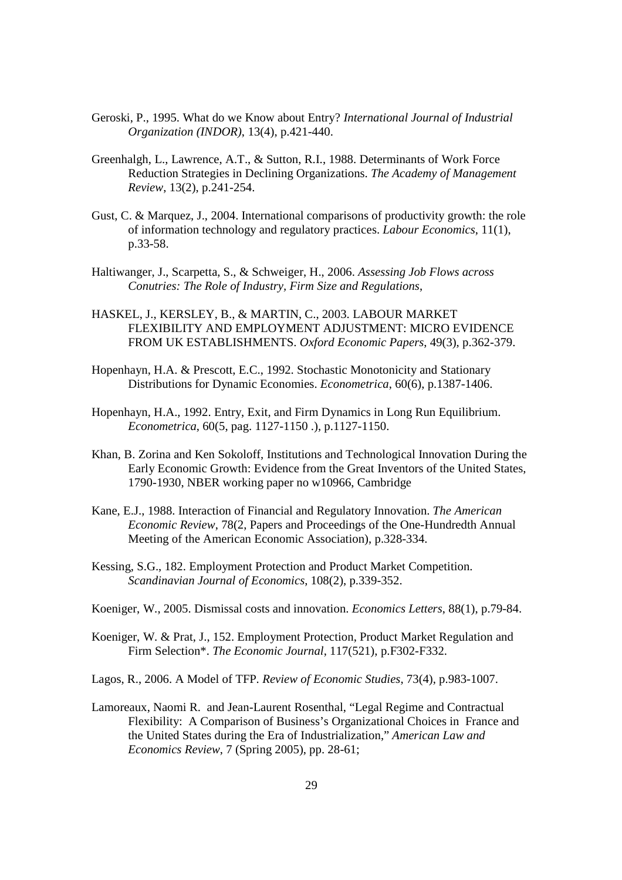- Geroski, P., 1995. What do we Know about Entry? *International Journal of Industrial Organization (INDOR)*, 13(4), p.421-440.
- Greenhalgh, L., Lawrence, A.T., & Sutton, R.I., 1988. Determinants of Work Force Reduction Strategies in Declining Organizations. *The Academy of Management Review*, 13(2), p.241-254.
- Gust, C. & Marquez, J., 2004. International comparisons of productivity growth: the role of information technology and regulatory practices. *Labour Economics*, 11(1), p.33-58.
- Haltiwanger, J., Scarpetta, S., & Schweiger, H., 2006. *Assessing Job Flows across Conutries: The Role of Industry, Firm Size and Regulations*,
- HASKEL, J., KERSLEY, B., & MARTIN, C., 2003. LABOUR MARKET FLEXIBILITY AND EMPLOYMENT ADJUSTMENT: MICRO EVIDENCE FROM UK ESTABLISHMENTS. *Oxford Economic Papers*, 49(3), p.362-379.
- Hopenhayn, H.A. & Prescott, E.C., 1992. Stochastic Monotonicity and Stationary Distributions for Dynamic Economies. *Econometrica*, 60(6), p.1387-1406.
- Hopenhayn, H.A., 1992. Entry, Exit, and Firm Dynamics in Long Run Equilibrium. *Econometrica*, 60(5, pag. 1127-1150 .), p.1127-1150.
- Khan, B. Zorina and Ken Sokoloff, Institutions and Technological Innovation During the Early Economic Growth: Evidence from the Great Inventors of the United States, 1790-1930, NBER working paper no w10966, Cambridge
- Kane, E.J., 1988. Interaction of Financial and Regulatory Innovation. *The American Economic Review*, 78(2, Papers and Proceedings of the One-Hundredth Annual Meeting of the American Economic Association), p.328-334.
- Kessing, S.G., 182. Employment Protection and Product Market Competition. *Scandinavian Journal of Economics*, 108(2), p.339-352.
- Koeniger, W., 2005. Dismissal costs and innovation. *Economics Letters*, 88(1), p.79-84.
- Koeniger, W. & Prat, J., 152. Employment Protection, Product Market Regulation and Firm Selection\*. *The Economic Journal*, 117(521), p.F302-F332.

Lagos, R., 2006. A Model of TFP. *Review of Economic Studies*, 73(4), p.983-1007.

Lamoreaux, Naomi R. and Jean-Laurent Rosenthal, "Legal Regime and Contractual Flexibility: A Comparison of Business's Organizational Choices in France and the United States during the Era of Industrialization," *American Law and Economics Review*, 7 (Spring 2005), pp. 28-61;